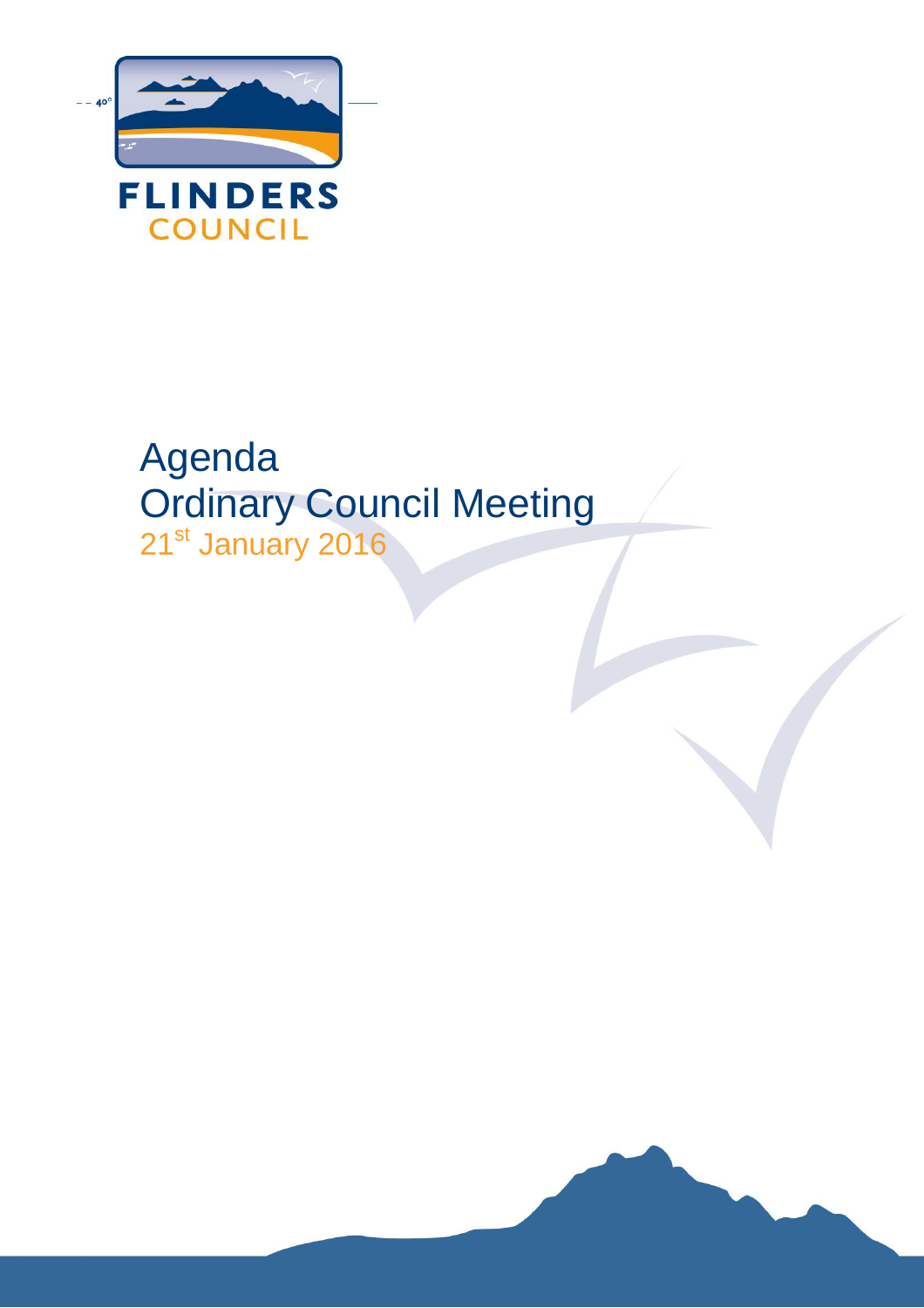

# Agenda Ordinary Council Meeting 21<sup>st</sup> January 2016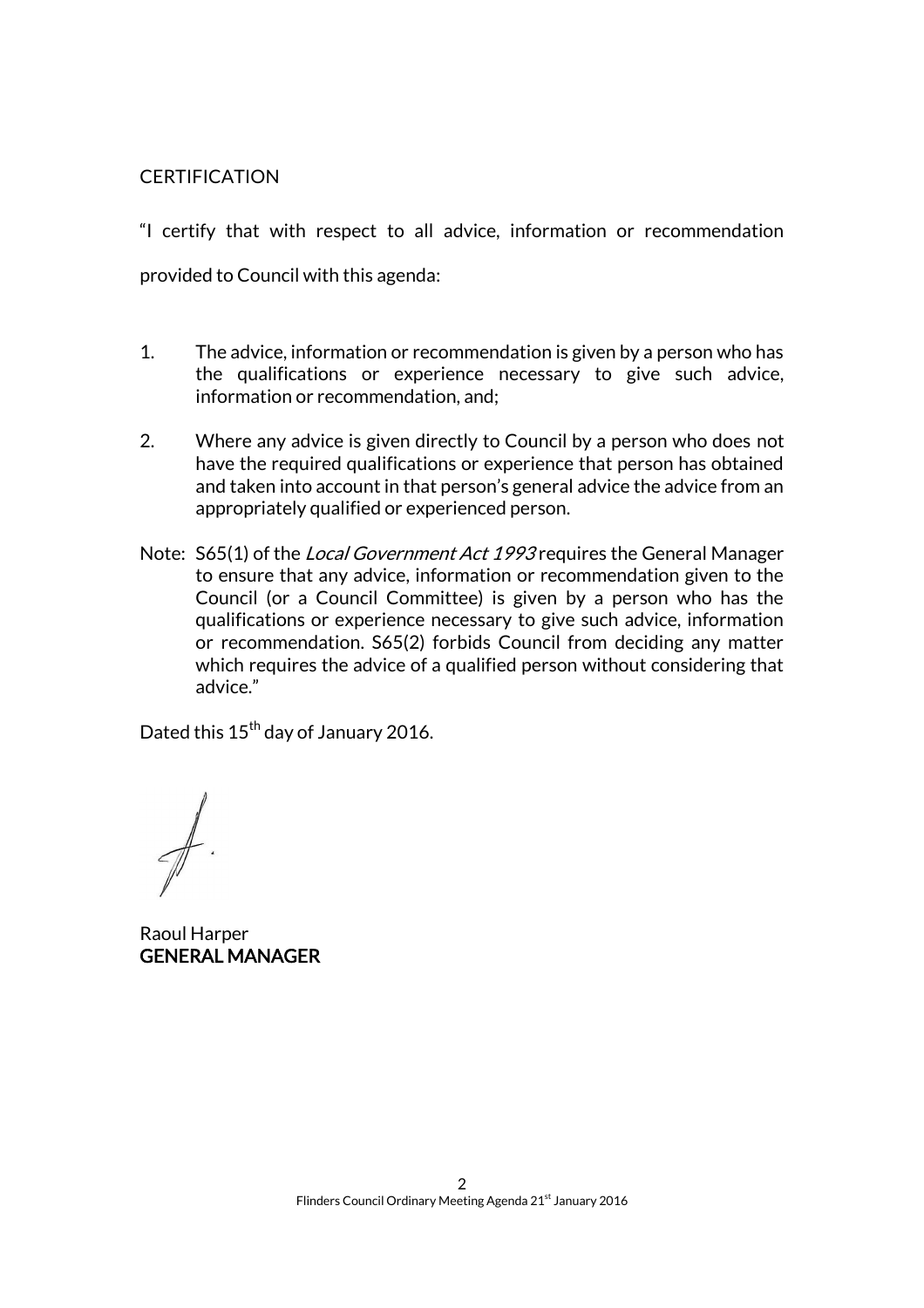### **CERTIFICATION**

"I certify that with respect to all advice, information or recommendation provided to Council with this agenda:

- 1. The advice, information or recommendation is given by a person who has the qualifications or experience necessary to give such advice, information or recommendation, and;
- 2. Where any advice is given directly to Council by a person who does not have the required qualifications or experience that person has obtained and taken into account in that person's general advice the advice from an appropriately qualified or experienced person.
- Note: S65(1) of the *Local Government Act 1993* requires the General Manager to ensure that any advice, information or recommendation given to the Council (or a Council Committee) is given by a person who has the qualifications or experience necessary to give such advice, information or recommendation. S65(2) forbids Council from deciding any matter which requires the advice of a qualified person without considering that advice."

Dated this 15<sup>th</sup> day of January 2016.

Raoul Harper GENERAL MANAGER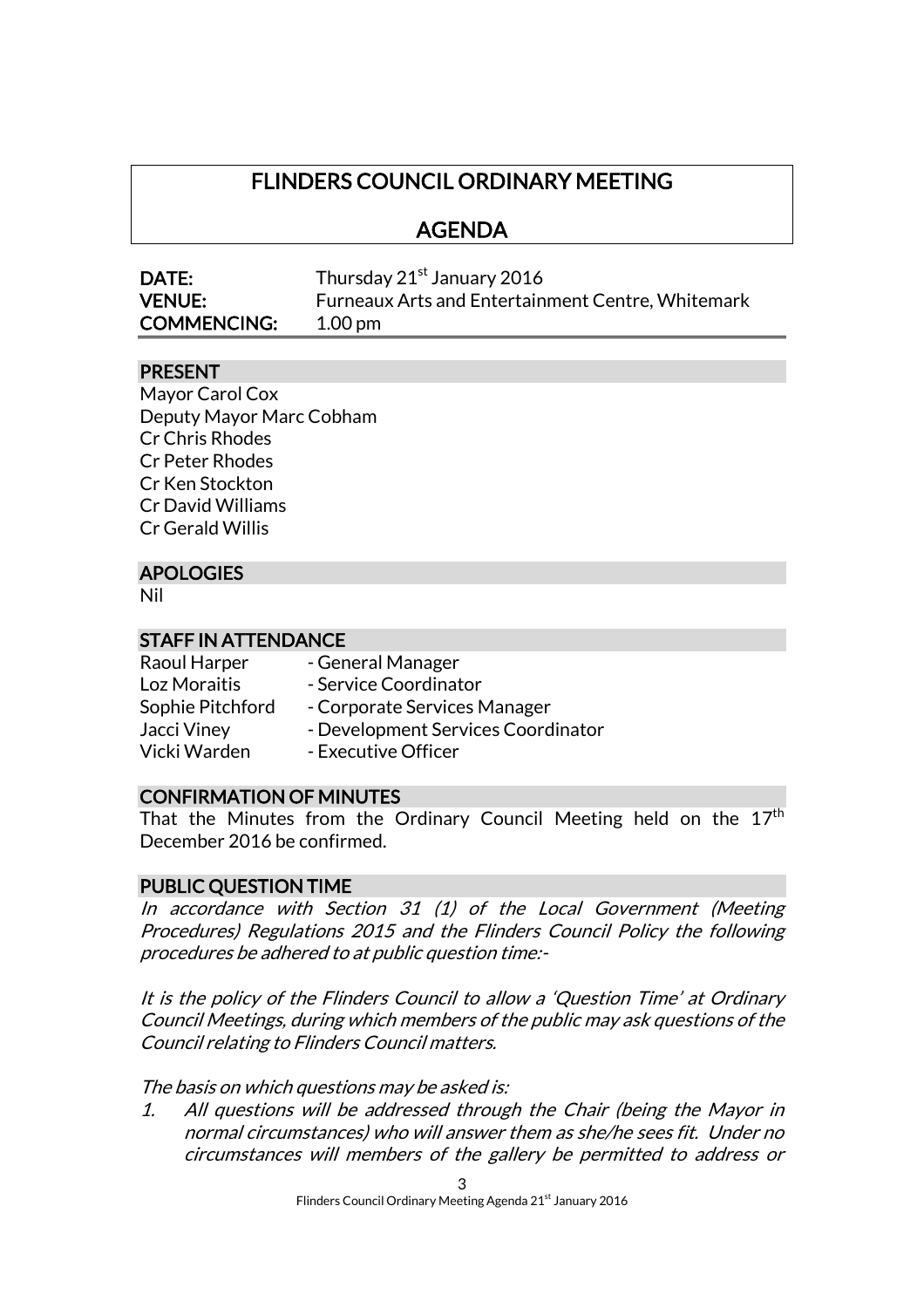# FLINDERS COUNCIL ORDINARY MEETING

# AGENDA

| <b>DATE:</b>       | Thursday 21 <sup>st</sup> January 2016                   |
|--------------------|----------------------------------------------------------|
| <b>VENUE:</b>      | <b>Furneaux Arts and Entertainment Centre, Whitemark</b> |
| <b>COMMENCING:</b> | $1.00 \,\mathrm{pm}$                                     |

# PRESENT

Mayor Carol Cox Deputy Mayor Marc Cobham Cr Chris Rhodes Cr Peter Rhodes Cr Ken Stockton Cr David Williams Cr Gerald Willis

### APOLOGIES

Nil

### STAFF IN ATTENDANCE

| Raoul Harper     | - General Manager                  |
|------------------|------------------------------------|
| Loz Moraitis     | - Service Coordinator              |
| Sophie Pitchford | - Corporate Services Manager       |
| Jacci Viney      | - Development Services Coordinator |
| Vicki Warden     | - Executive Officer                |

#### CONFIRMATION OF MINUTES

That the Minutes from the Ordinary Council Meeting held on the  $17^{\rm th}$ December 2016 be confirmed.

# PUBLIC QUESTION TIME

In accordance with Section 31 (1) of the Local Government (Meeting Procedures) Regulations 2015 and the Flinders Council Policy the following procedures be adhered to at public question time:-

It is the policy of the Flinders Council to allow a 'Question Time' at Ordinary Council Meetings, during which members of the public may ask questions of the Council relating to Flinders Council matters.

The basis on which questions may be asked is:

1. All questions will be addressed through the Chair (being the Mayor in normal circumstances) who will answer them as she/he sees fit. Under no circumstances will members of the gallery be permitted to address or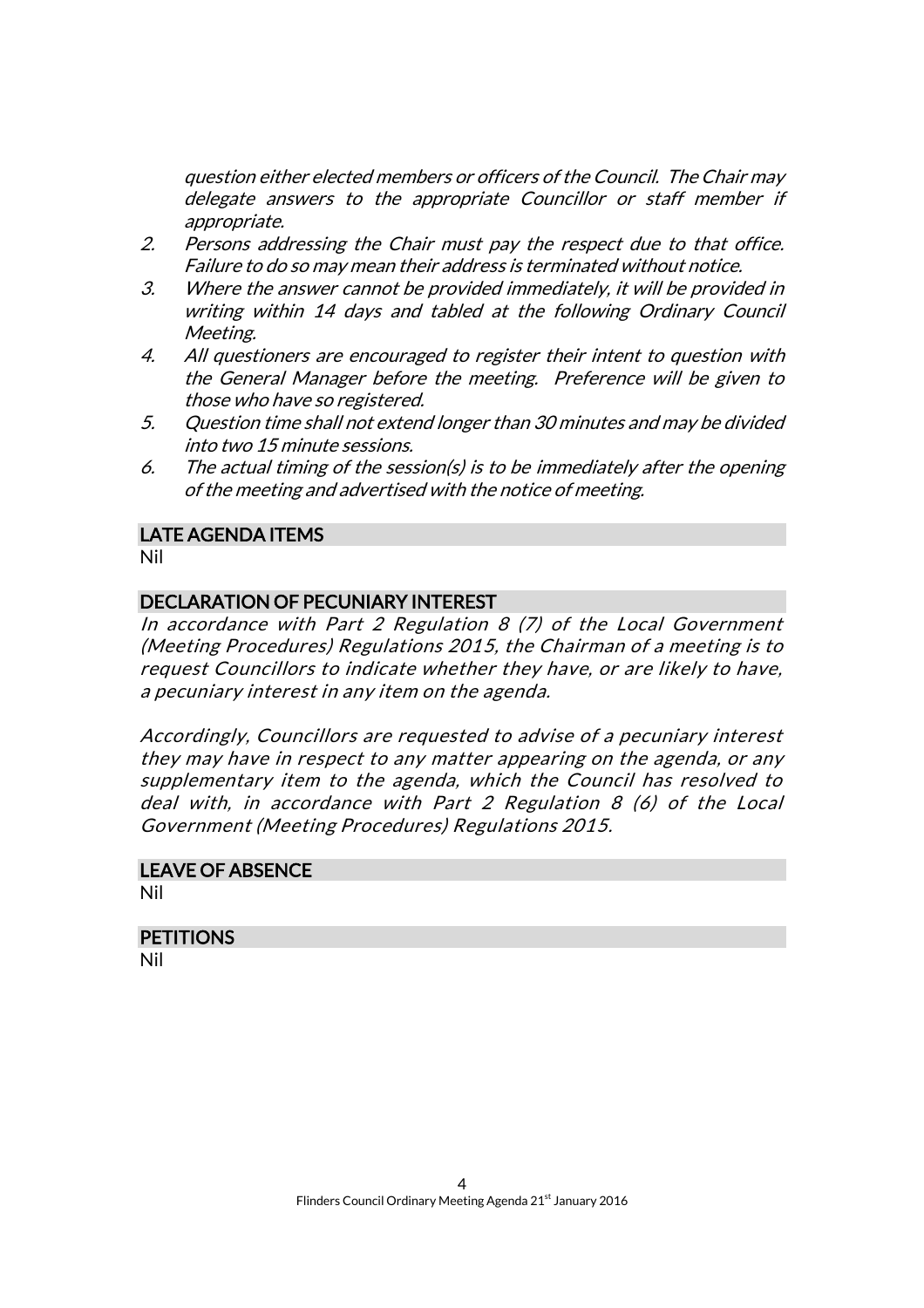question either elected members or officers of the Council. The Chair may delegate answers to the appropriate Councillor or staff member if appropriate.

- 2. Persons addressing the Chair must pay the respect due to that office. Failure to do so may mean their address is terminated without notice.
- 3. Where the answer cannot be provided immediately, it will be provided in writing within 14 days and tabled at the following Ordinary Council Meeting.
- 4. All questioners are encouraged to register their intent to question with the General Manager before the meeting. Preference will be given to those who have so registered.
- 5. Question time shall not extend longer than 30 minutes and may be divided into two 15 minute sessions.
- 6. The actual timing of the session(s) is to be immediately after the opening of the meeting and advertised with the notice of meeting.

### LATE AGENDA ITEMS

Nil

# DECLARATION OF PECUNIARY INTEREST

In accordance with Part 2 Regulation 8 (7) of the Local Government (Meeting Procedures) Regulations 2015, the Chairman of a meeting is to request Councillors to indicate whether they have, or are likely to have, a pecuniary interest in any item on the agenda.

Accordingly, Councillors are requested to advise of a pecuniary interest they may have in respect to any matter appearing on the agenda, or any supplementary item to the agenda, which the Council has resolved to deal with, in accordance with Part 2 Regulation 8 (6) of the Local Government (Meeting Procedures) Regulations 2015.

#### LEAVE OF ABSENCE

Nil

# **PETITIONS**

Nil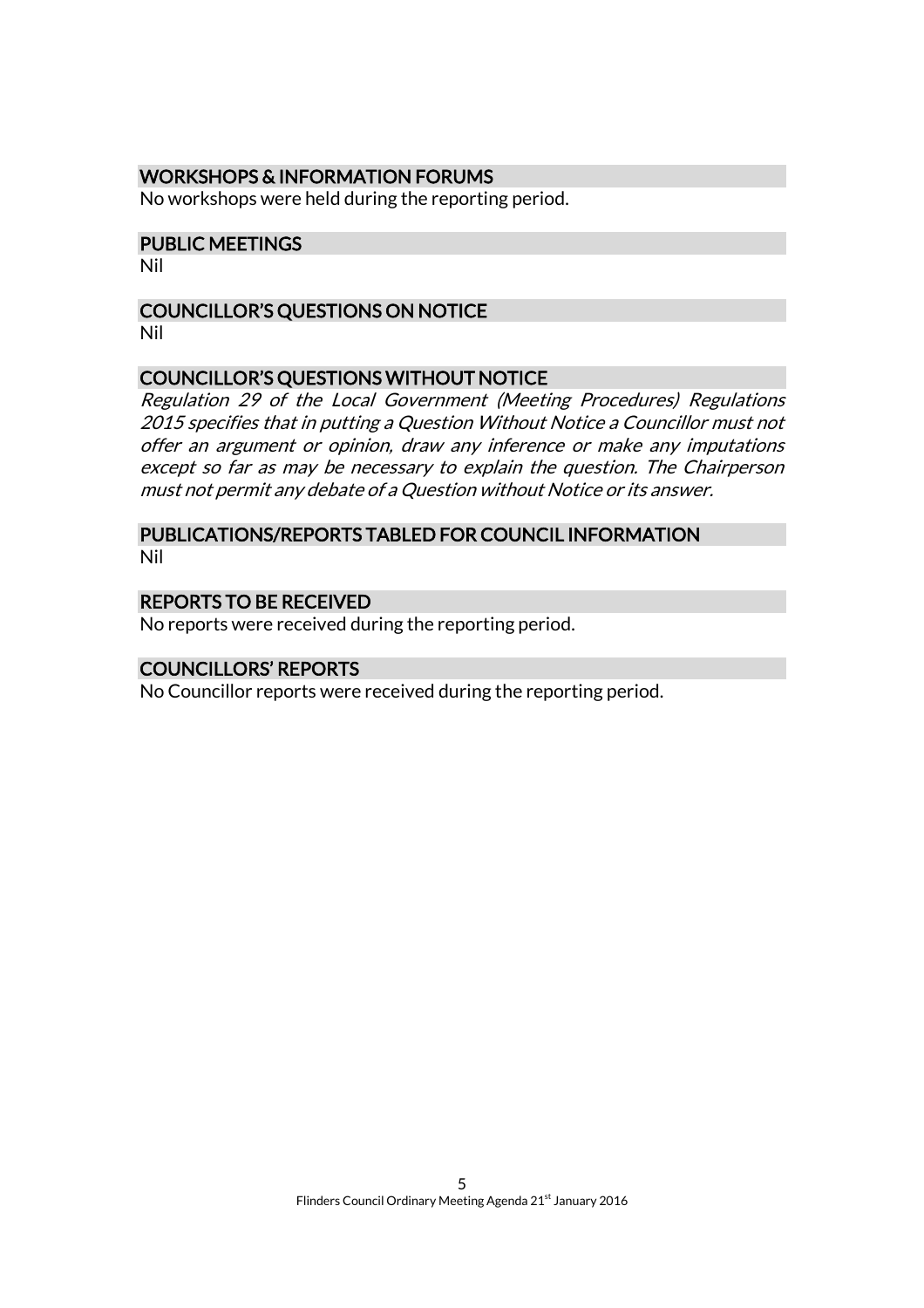### WORKSHOPS & INFORMATION FORUMS

No workshops were held during the reporting period.

#### PUBLIC MEETINGS

Nil

#### COUNCILLOR'S QUESTIONS ON NOTICE Nil

### COUNCILLOR'S QUESTIONS WITHOUT NOTICE

Regulation 29 of the Local Government (Meeting Procedures) Regulations 2015 specifies that in putting a Question Without Notice a Councillor must not offer an argument or opinion, draw any inference or make any imputations except so far as may be necessary to explain the question. The Chairperson must not permit any debate of a Question without Notice or its answer.

#### PUBLICATIONS/REPORTS TABLED FOR COUNCIL INFORMATION Nil

#### REPORTS TO BE RECEIVED

No reports were received during the reporting period.

#### COUNCILLORS' REPORTS

No Councillor reports were received during the reporting period.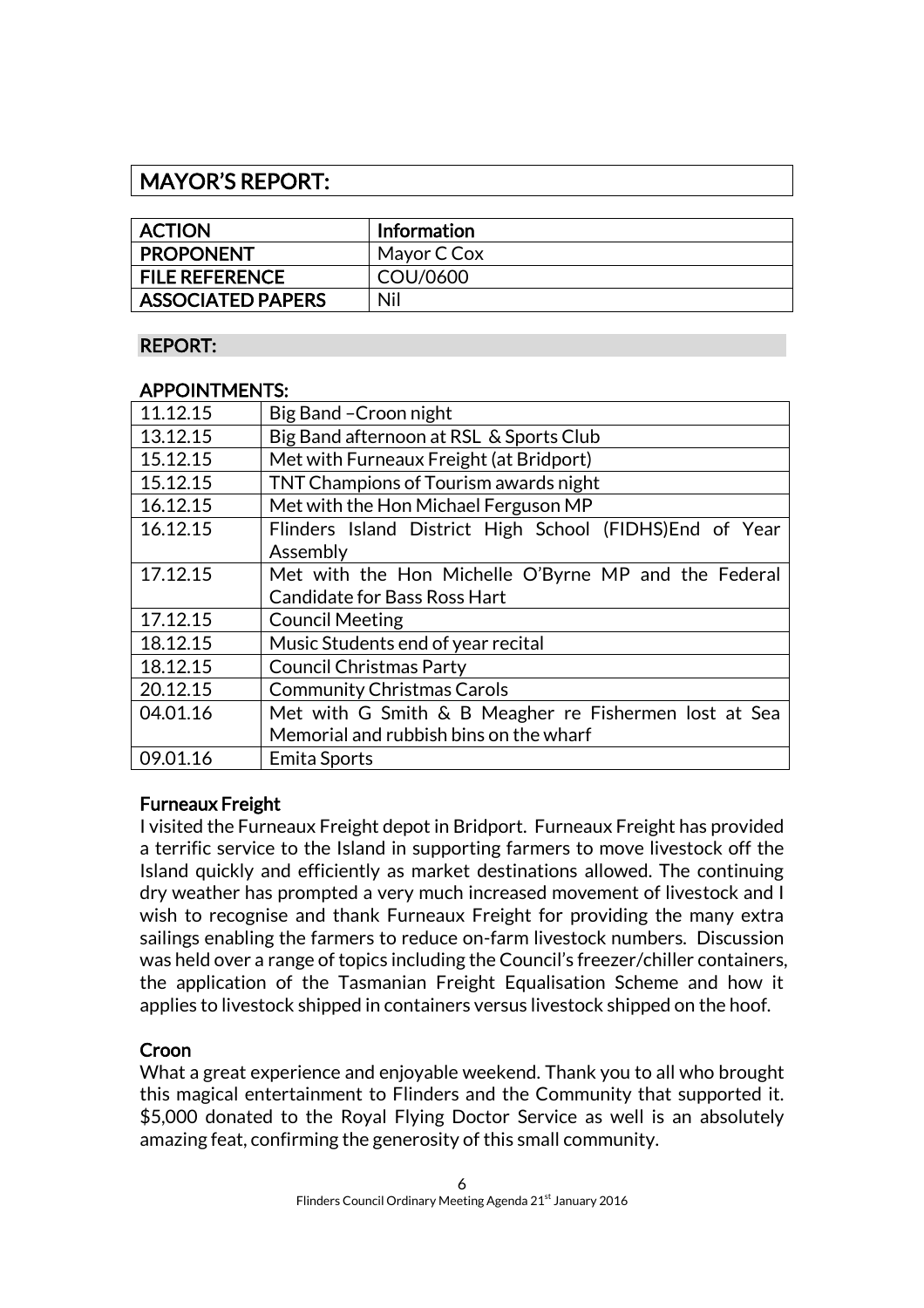# MAYOR'S REPORT:

| <b>ACTION</b>            | Information |
|--------------------------|-------------|
| <b>PROPONENT</b>         | Mayor C Cox |
| <b>FILE REFERENCE</b>    | COU/0600    |
| <b>ASSOCIATED PAPERS</b> | Nil         |

# REPORT:

### APPOINTMENTS:

| 11.12.15 | Big Band - Croon night                                   |
|----------|----------------------------------------------------------|
| 13.12.15 | Big Band afternoon at RSL & Sports Club                  |
| 15.12.15 | Met with Furneaux Freight (at Bridport)                  |
| 15.12.15 | TNT Champions of Tourism awards night                    |
| 16.12.15 | Met with the Hon Michael Ferguson MP                     |
| 16.12.15 | Flinders Island District High School (FIDHS) End of Year |
|          | Assembly                                                 |
| 17.12.15 | Met with the Hon Michelle O'Byrne MP and the Federal     |
|          | <b>Candidate for Bass Ross Hart</b>                      |
| 17.12.15 | <b>Council Meeting</b>                                   |
| 18.12.15 | Music Students end of year recital                       |
| 18.12.15 | <b>Council Christmas Party</b>                           |
| 20.12.15 | <b>Community Christmas Carols</b>                        |
| 04.01.16 | Met with G Smith & B Meagher re Fishermen lost at Sea    |
|          | Memorial and rubbish bins on the wharf                   |
| 09.01.16 | Emita Sports                                             |
|          |                                                          |

# Furneaux Freight

I visited the Furneaux Freight depot in Bridport. Furneaux Freight has provided a terrific service to the Island in supporting farmers to move livestock off the Island quickly and efficiently as market destinations allowed. The continuing dry weather has prompted a very much increased movement of livestock and I wish to recognise and thank Furneaux Freight for providing the many extra sailings enabling the farmers to reduce on-farm livestock numbers. Discussion was held over a range of topics including the Council's freezer/chiller containers, the application of the Tasmanian Freight Equalisation Scheme and how it applies to livestock shipped in containers versus livestock shipped on the hoof.

# Croon

What a great experience and enjoyable weekend. Thank you to all who brought this magical entertainment to Flinders and the Community that supported it. \$5,000 donated to the Royal Flying Doctor Service as well is an absolutely amazing feat, confirming the generosity of this small community.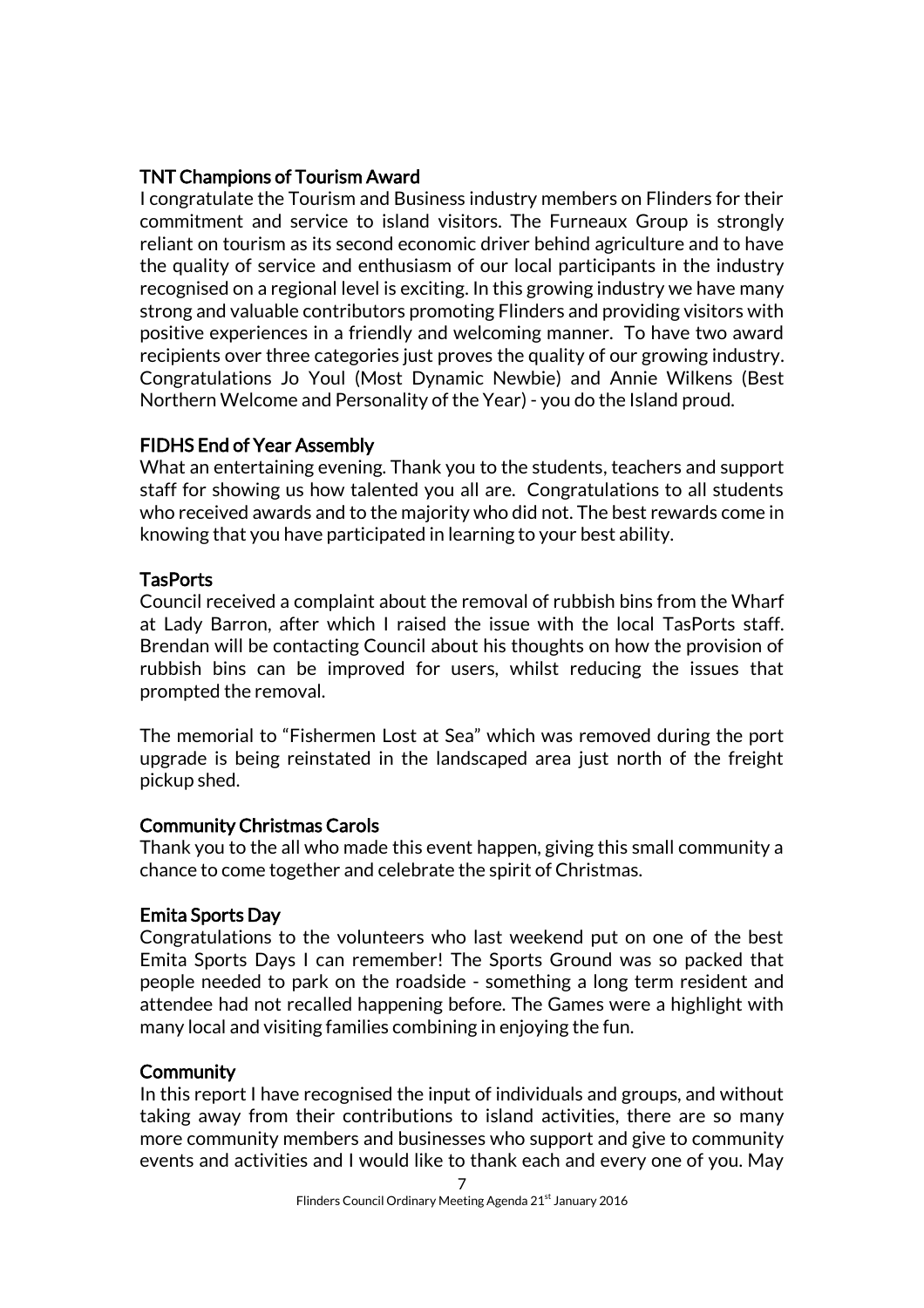# TNT Champions of Tourism Award

I congratulate the Tourism and Business industry members on Flinders for their commitment and service to island visitors. The Furneaux Group is strongly reliant on tourism as its second economic driver behind agriculture and to have the quality of service and enthusiasm of our local participants in the industry recognised on a regional level is exciting. In this growing industry we have many strong and valuable contributors promoting Flinders and providing visitors with positive experiences in a friendly and welcoming manner. To have two award recipients over three categories just proves the quality of our growing industry. Congratulations Jo Youl (Most Dynamic Newbie) and Annie Wilkens (Best Northern Welcome and Personality of the Year) - you do the Island proud.

# FIDHS End of Year Assembly

What an entertaining evening. Thank you to the students, teachers and support staff for showing us how talented you all are. Congratulations to all students who received awards and to the majority who did not. The best rewards come in knowing that you have participated in learning to your best ability.

# **TasPorts**

Council received a complaint about the removal of rubbish bins from the Wharf at Lady Barron, after which I raised the issue with the local TasPorts staff. Brendan will be contacting Council about his thoughts on how the provision of rubbish bins can be improved for users, whilst reducing the issues that prompted the removal.

The memorial to "Fishermen Lost at Sea" which was removed during the port upgrade is being reinstated in the landscaped area just north of the freight pickup shed.

# Community Christmas Carols

Thank you to the all who made this event happen, giving this small community a chance to come together and celebrate the spirit of Christmas.

# Emita Sports Day

Congratulations to the volunteers who last weekend put on one of the best Emita Sports Days I can remember! The Sports Ground was so packed that people needed to park on the roadside - something a long term resident and attendee had not recalled happening before. The Games were a highlight with many local and visiting families combining in enjoying the fun.

# **Community**

In this report I have recognised the input of individuals and groups, and without taking away from their contributions to island activities, there are so many more community members and businesses who support and give to community events and activities and I would like to thank each and every one of you. May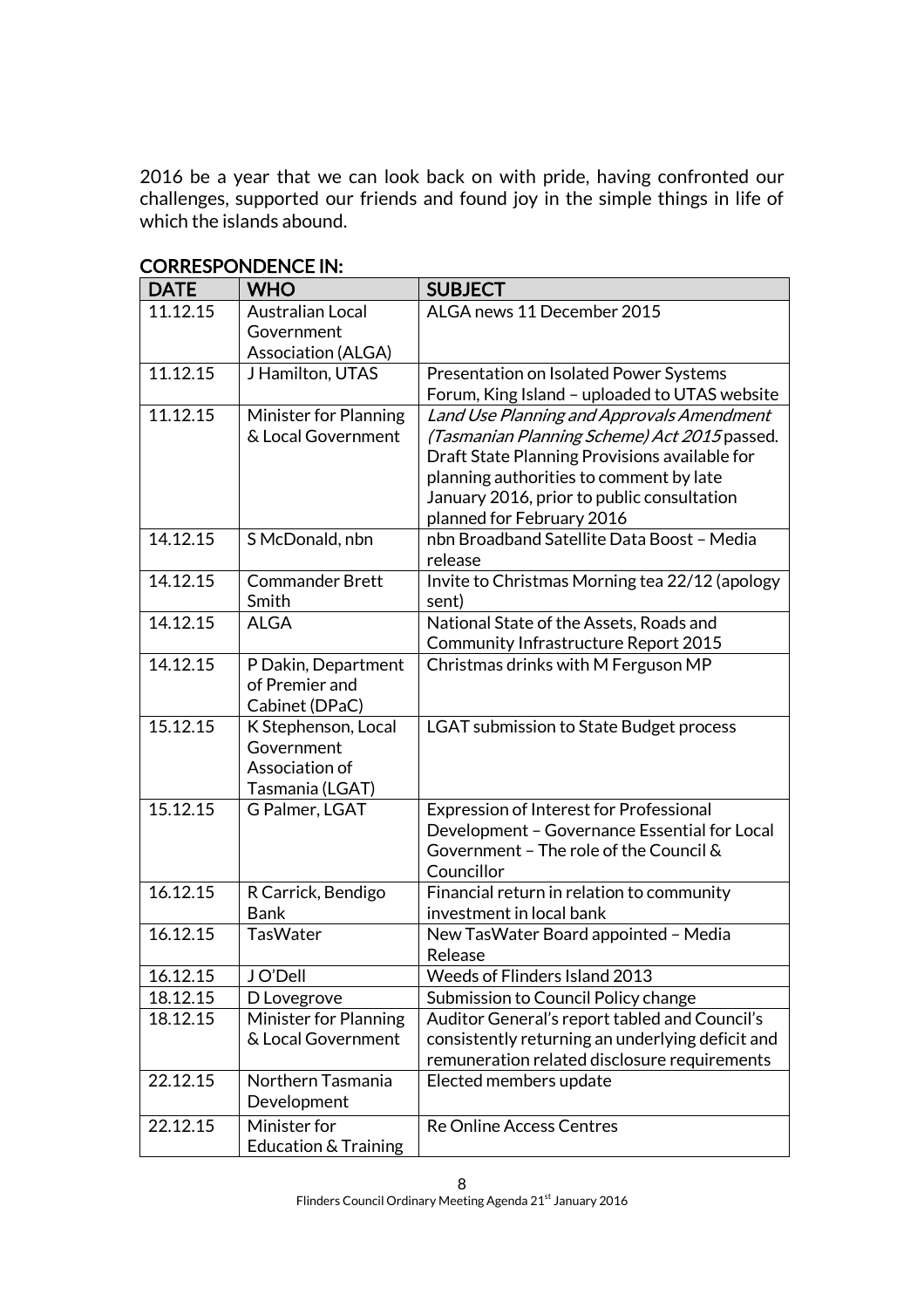2016 be a year that we can look back on with pride, having confronted our challenges, supported our friends and found joy in the simple things in life of which the islands abound.

| <b>DATE</b> | <b>WHO</b>                                      | <b>SUBJECT</b>                                   |
|-------------|-------------------------------------------------|--------------------------------------------------|
|             |                                                 |                                                  |
| 11.12.15    | Australian Local                                | ALGA news 11 December 2015                       |
|             | Government                                      |                                                  |
|             | Association (ALGA)                              |                                                  |
| 11.12.15    | J Hamilton, UTAS                                | Presentation on Isolated Power Systems           |
|             |                                                 | Forum, King Island - uploaded to UTAS website    |
| 11.12.15    | Minister for Planning                           | Land Use Planning and Approvals Amendment        |
|             | & Local Government                              | (Tasmanian Planning Scheme) Act 2015 passed.     |
|             |                                                 | Draft State Planning Provisions available for    |
|             |                                                 | planning authorities to comment by late          |
|             |                                                 | January 2016, prior to public consultation       |
|             |                                                 | planned for February 2016                        |
| 14.12.15    | S McDonald, nbn                                 | nbn Broadband Satellite Data Boost - Media       |
|             |                                                 | release                                          |
| 14.12.15    | <b>Commander Brett</b>                          | Invite to Christmas Morning tea 22/12 (apology   |
|             | Smith                                           | sent)                                            |
| 14.12.15    | <b>ALGA</b>                                     | National State of the Assets, Roads and          |
|             |                                                 | Community Infrastructure Report 2015             |
| 14.12.15    | P Dakin, Department                             | Christmas drinks with M Ferguson MP              |
|             | of Premier and                                  |                                                  |
|             | Cabinet (DPaC)                                  |                                                  |
| 15.12.15    | K Stephenson, Local                             | <b>LGAT submission to State Budget process</b>   |
|             | Government                                      |                                                  |
|             | Association of                                  |                                                  |
|             | Tasmania (LGAT)                                 |                                                  |
| 15.12.15    | G Palmer, LGAT                                  | Expression of Interest for Professional          |
|             |                                                 | Development - Governance Essential for Local     |
|             |                                                 | Government - The role of the Council &           |
|             |                                                 | Councillor                                       |
| 16.12.15    | R Carrick, Bendigo                              | Financial return in relation to community        |
|             | <b>Bank</b>                                     | investment in local bank                         |
| 16.12.15    | <b>TasWater</b>                                 | New TasWater Board appointed - Media             |
|             |                                                 | Release                                          |
| 16.12.15    | JO'Dell                                         | Weeds of Flinders Island 2013                    |
| 18.12.15    | D Lovegrove                                     | Submission to Council Policy change              |
| 18.12.15    | <b>Minister for Planning</b>                    | Auditor General's report tabled and Council's    |
|             | & Local Government                              | consistently returning an underlying deficit and |
|             |                                                 | remuneration related disclosure requirements     |
| 22.12.15    | Northern Tasmania                               | Elected members update                           |
|             | Development                                     |                                                  |
|             |                                                 |                                                  |
|             |                                                 |                                                  |
| 22.12.15    | Minister for<br><b>Education &amp; Training</b> | <b>Re Online Access Centres</b>                  |

# CORRESPONDENCE IN: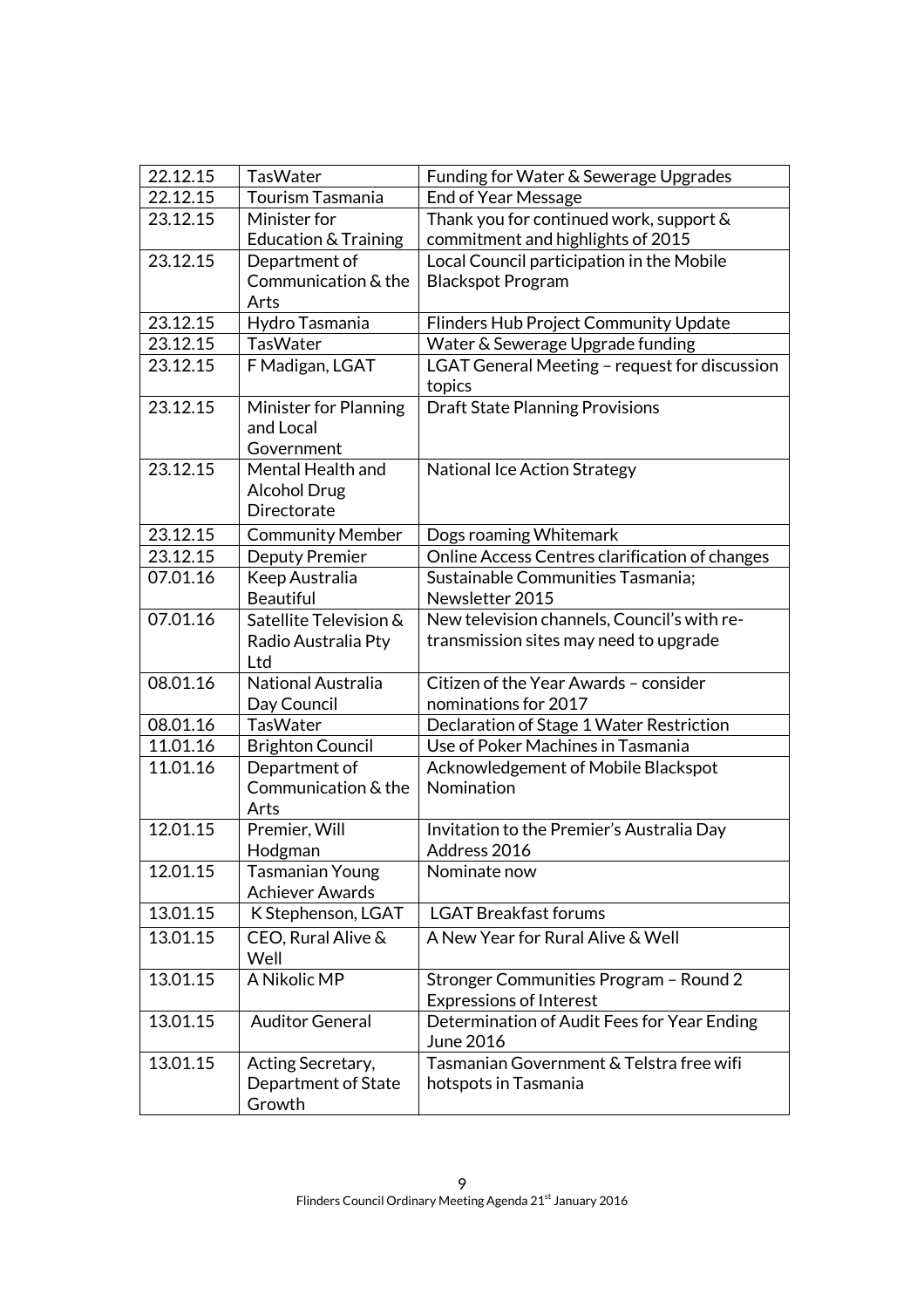| 22.12.15<br>Tourism Tasmania<br><b>End of Year Message</b><br>Thank you for continued work, support &<br>Minister for<br>23.12.15<br>commitment and highlights of 2015<br>Education & Training<br>23.12.15<br>Department of<br>Local Council participation in the Mobile<br>Communication & the<br><b>Blackspot Program</b><br>Arts<br>23.12.15<br>Hydro Tasmania<br>Flinders Hub Project Community Update<br>23.12.15<br>Water & Sewerage Upgrade funding<br><b>TasWater</b><br>23.12.15<br>LGAT General Meeting - request for discussion<br>F Madigan, LGAT<br>topics<br>23.12.15<br>Minister for Planning<br><b>Draft State Planning Provisions</b><br>and Local<br>Government<br>23.12.15<br><b>National Ice Action Strategy</b><br>Mental Health and<br><b>Alcohol Drug</b><br>Directorate<br>23.12.15<br><b>Community Member</b><br>Dogs roaming Whitemark<br>Online Access Centres clarification of changes<br>23.12.15<br><b>Deputy Premier</b><br>Sustainable Communities Tasmania;<br>07.01.16<br>Keep Australia<br><b>Beautiful</b><br>Newsletter 2015<br>07.01.16<br>Satellite Television &<br>New television channels, Council's with re-<br>transmission sites may need to upgrade<br>Radio Australia Pty<br>Ltd<br>08.01.16<br>Citizen of the Year Awards - consider<br>National Australia<br>nominations for 2017<br>Day Council<br>08.01.16<br><b>TasWater</b><br>Declaration of Stage 1 Water Restriction<br>11.01.16<br>Use of Poker Machines in Tasmania<br><b>Brighton Council</b><br>11.01.16<br>Department of<br>Acknowledgement of Mobile Blackspot<br>Communication & the<br>Nomination<br>Arts<br>12.01.15<br>Premier, Will<br>Invitation to the Premier's Australia Day<br>Hodgman<br>Address 2016<br>12.01.15<br>Nominate now<br><b>Tasmanian Young</b><br><b>Achiever Awards</b><br>13.01.15<br>K Stephenson, LGAT<br><b>LGAT Breakfast forums</b> |          |                 |                                       |
|---------------------------------------------------------------------------------------------------------------------------------------------------------------------------------------------------------------------------------------------------------------------------------------------------------------------------------------------------------------------------------------------------------------------------------------------------------------------------------------------------------------------------------------------------------------------------------------------------------------------------------------------------------------------------------------------------------------------------------------------------------------------------------------------------------------------------------------------------------------------------------------------------------------------------------------------------------------------------------------------------------------------------------------------------------------------------------------------------------------------------------------------------------------------------------------------------------------------------------------------------------------------------------------------------------------------------------------------------------------------------------------------------------------------------------------------------------------------------------------------------------------------------------------------------------------------------------------------------------------------------------------------------------------------------------------------------------------------------------------------------------------------------------------------------------------------------------------------------------------------------------|----------|-----------------|---------------------------------------|
|                                                                                                                                                                                                                                                                                                                                                                                                                                                                                                                                                                                                                                                                                                                                                                                                                                                                                                                                                                                                                                                                                                                                                                                                                                                                                                                                                                                                                                                                                                                                                                                                                                                                                                                                                                                                                                                                                 | 22.12.15 | <b>TasWater</b> | Funding for Water & Sewerage Upgrades |
|                                                                                                                                                                                                                                                                                                                                                                                                                                                                                                                                                                                                                                                                                                                                                                                                                                                                                                                                                                                                                                                                                                                                                                                                                                                                                                                                                                                                                                                                                                                                                                                                                                                                                                                                                                                                                                                                                 |          |                 |                                       |
|                                                                                                                                                                                                                                                                                                                                                                                                                                                                                                                                                                                                                                                                                                                                                                                                                                                                                                                                                                                                                                                                                                                                                                                                                                                                                                                                                                                                                                                                                                                                                                                                                                                                                                                                                                                                                                                                                 |          |                 |                                       |
|                                                                                                                                                                                                                                                                                                                                                                                                                                                                                                                                                                                                                                                                                                                                                                                                                                                                                                                                                                                                                                                                                                                                                                                                                                                                                                                                                                                                                                                                                                                                                                                                                                                                                                                                                                                                                                                                                 |          |                 |                                       |
|                                                                                                                                                                                                                                                                                                                                                                                                                                                                                                                                                                                                                                                                                                                                                                                                                                                                                                                                                                                                                                                                                                                                                                                                                                                                                                                                                                                                                                                                                                                                                                                                                                                                                                                                                                                                                                                                                 |          |                 |                                       |
|                                                                                                                                                                                                                                                                                                                                                                                                                                                                                                                                                                                                                                                                                                                                                                                                                                                                                                                                                                                                                                                                                                                                                                                                                                                                                                                                                                                                                                                                                                                                                                                                                                                                                                                                                                                                                                                                                 |          |                 |                                       |
|                                                                                                                                                                                                                                                                                                                                                                                                                                                                                                                                                                                                                                                                                                                                                                                                                                                                                                                                                                                                                                                                                                                                                                                                                                                                                                                                                                                                                                                                                                                                                                                                                                                                                                                                                                                                                                                                                 |          |                 |                                       |
|                                                                                                                                                                                                                                                                                                                                                                                                                                                                                                                                                                                                                                                                                                                                                                                                                                                                                                                                                                                                                                                                                                                                                                                                                                                                                                                                                                                                                                                                                                                                                                                                                                                                                                                                                                                                                                                                                 |          |                 |                                       |
|                                                                                                                                                                                                                                                                                                                                                                                                                                                                                                                                                                                                                                                                                                                                                                                                                                                                                                                                                                                                                                                                                                                                                                                                                                                                                                                                                                                                                                                                                                                                                                                                                                                                                                                                                                                                                                                                                 |          |                 |                                       |
|                                                                                                                                                                                                                                                                                                                                                                                                                                                                                                                                                                                                                                                                                                                                                                                                                                                                                                                                                                                                                                                                                                                                                                                                                                                                                                                                                                                                                                                                                                                                                                                                                                                                                                                                                                                                                                                                                 |          |                 |                                       |
|                                                                                                                                                                                                                                                                                                                                                                                                                                                                                                                                                                                                                                                                                                                                                                                                                                                                                                                                                                                                                                                                                                                                                                                                                                                                                                                                                                                                                                                                                                                                                                                                                                                                                                                                                                                                                                                                                 |          |                 |                                       |
|                                                                                                                                                                                                                                                                                                                                                                                                                                                                                                                                                                                                                                                                                                                                                                                                                                                                                                                                                                                                                                                                                                                                                                                                                                                                                                                                                                                                                                                                                                                                                                                                                                                                                                                                                                                                                                                                                 |          |                 |                                       |
|                                                                                                                                                                                                                                                                                                                                                                                                                                                                                                                                                                                                                                                                                                                                                                                                                                                                                                                                                                                                                                                                                                                                                                                                                                                                                                                                                                                                                                                                                                                                                                                                                                                                                                                                                                                                                                                                                 |          |                 |                                       |
|                                                                                                                                                                                                                                                                                                                                                                                                                                                                                                                                                                                                                                                                                                                                                                                                                                                                                                                                                                                                                                                                                                                                                                                                                                                                                                                                                                                                                                                                                                                                                                                                                                                                                                                                                                                                                                                                                 |          |                 |                                       |
|                                                                                                                                                                                                                                                                                                                                                                                                                                                                                                                                                                                                                                                                                                                                                                                                                                                                                                                                                                                                                                                                                                                                                                                                                                                                                                                                                                                                                                                                                                                                                                                                                                                                                                                                                                                                                                                                                 |          |                 |                                       |
|                                                                                                                                                                                                                                                                                                                                                                                                                                                                                                                                                                                                                                                                                                                                                                                                                                                                                                                                                                                                                                                                                                                                                                                                                                                                                                                                                                                                                                                                                                                                                                                                                                                                                                                                                                                                                                                                                 |          |                 |                                       |
|                                                                                                                                                                                                                                                                                                                                                                                                                                                                                                                                                                                                                                                                                                                                                                                                                                                                                                                                                                                                                                                                                                                                                                                                                                                                                                                                                                                                                                                                                                                                                                                                                                                                                                                                                                                                                                                                                 |          |                 |                                       |
|                                                                                                                                                                                                                                                                                                                                                                                                                                                                                                                                                                                                                                                                                                                                                                                                                                                                                                                                                                                                                                                                                                                                                                                                                                                                                                                                                                                                                                                                                                                                                                                                                                                                                                                                                                                                                                                                                 |          |                 |                                       |
|                                                                                                                                                                                                                                                                                                                                                                                                                                                                                                                                                                                                                                                                                                                                                                                                                                                                                                                                                                                                                                                                                                                                                                                                                                                                                                                                                                                                                                                                                                                                                                                                                                                                                                                                                                                                                                                                                 |          |                 |                                       |
|                                                                                                                                                                                                                                                                                                                                                                                                                                                                                                                                                                                                                                                                                                                                                                                                                                                                                                                                                                                                                                                                                                                                                                                                                                                                                                                                                                                                                                                                                                                                                                                                                                                                                                                                                                                                                                                                                 |          |                 |                                       |
|                                                                                                                                                                                                                                                                                                                                                                                                                                                                                                                                                                                                                                                                                                                                                                                                                                                                                                                                                                                                                                                                                                                                                                                                                                                                                                                                                                                                                                                                                                                                                                                                                                                                                                                                                                                                                                                                                 |          |                 |                                       |
|                                                                                                                                                                                                                                                                                                                                                                                                                                                                                                                                                                                                                                                                                                                                                                                                                                                                                                                                                                                                                                                                                                                                                                                                                                                                                                                                                                                                                                                                                                                                                                                                                                                                                                                                                                                                                                                                                 |          |                 |                                       |
|                                                                                                                                                                                                                                                                                                                                                                                                                                                                                                                                                                                                                                                                                                                                                                                                                                                                                                                                                                                                                                                                                                                                                                                                                                                                                                                                                                                                                                                                                                                                                                                                                                                                                                                                                                                                                                                                                 |          |                 |                                       |
|                                                                                                                                                                                                                                                                                                                                                                                                                                                                                                                                                                                                                                                                                                                                                                                                                                                                                                                                                                                                                                                                                                                                                                                                                                                                                                                                                                                                                                                                                                                                                                                                                                                                                                                                                                                                                                                                                 |          |                 |                                       |
|                                                                                                                                                                                                                                                                                                                                                                                                                                                                                                                                                                                                                                                                                                                                                                                                                                                                                                                                                                                                                                                                                                                                                                                                                                                                                                                                                                                                                                                                                                                                                                                                                                                                                                                                                                                                                                                                                 |          |                 |                                       |
|                                                                                                                                                                                                                                                                                                                                                                                                                                                                                                                                                                                                                                                                                                                                                                                                                                                                                                                                                                                                                                                                                                                                                                                                                                                                                                                                                                                                                                                                                                                                                                                                                                                                                                                                                                                                                                                                                 |          |                 |                                       |
|                                                                                                                                                                                                                                                                                                                                                                                                                                                                                                                                                                                                                                                                                                                                                                                                                                                                                                                                                                                                                                                                                                                                                                                                                                                                                                                                                                                                                                                                                                                                                                                                                                                                                                                                                                                                                                                                                 |          |                 |                                       |
|                                                                                                                                                                                                                                                                                                                                                                                                                                                                                                                                                                                                                                                                                                                                                                                                                                                                                                                                                                                                                                                                                                                                                                                                                                                                                                                                                                                                                                                                                                                                                                                                                                                                                                                                                                                                                                                                                 |          |                 |                                       |
|                                                                                                                                                                                                                                                                                                                                                                                                                                                                                                                                                                                                                                                                                                                                                                                                                                                                                                                                                                                                                                                                                                                                                                                                                                                                                                                                                                                                                                                                                                                                                                                                                                                                                                                                                                                                                                                                                 |          |                 |                                       |
|                                                                                                                                                                                                                                                                                                                                                                                                                                                                                                                                                                                                                                                                                                                                                                                                                                                                                                                                                                                                                                                                                                                                                                                                                                                                                                                                                                                                                                                                                                                                                                                                                                                                                                                                                                                                                                                                                 |          |                 |                                       |
|                                                                                                                                                                                                                                                                                                                                                                                                                                                                                                                                                                                                                                                                                                                                                                                                                                                                                                                                                                                                                                                                                                                                                                                                                                                                                                                                                                                                                                                                                                                                                                                                                                                                                                                                                                                                                                                                                 |          |                 |                                       |
|                                                                                                                                                                                                                                                                                                                                                                                                                                                                                                                                                                                                                                                                                                                                                                                                                                                                                                                                                                                                                                                                                                                                                                                                                                                                                                                                                                                                                                                                                                                                                                                                                                                                                                                                                                                                                                                                                 |          |                 |                                       |
|                                                                                                                                                                                                                                                                                                                                                                                                                                                                                                                                                                                                                                                                                                                                                                                                                                                                                                                                                                                                                                                                                                                                                                                                                                                                                                                                                                                                                                                                                                                                                                                                                                                                                                                                                                                                                                                                                 |          |                 |                                       |
|                                                                                                                                                                                                                                                                                                                                                                                                                                                                                                                                                                                                                                                                                                                                                                                                                                                                                                                                                                                                                                                                                                                                                                                                                                                                                                                                                                                                                                                                                                                                                                                                                                                                                                                                                                                                                                                                                 |          |                 |                                       |
|                                                                                                                                                                                                                                                                                                                                                                                                                                                                                                                                                                                                                                                                                                                                                                                                                                                                                                                                                                                                                                                                                                                                                                                                                                                                                                                                                                                                                                                                                                                                                                                                                                                                                                                                                                                                                                                                                 |          |                 |                                       |
|                                                                                                                                                                                                                                                                                                                                                                                                                                                                                                                                                                                                                                                                                                                                                                                                                                                                                                                                                                                                                                                                                                                                                                                                                                                                                                                                                                                                                                                                                                                                                                                                                                                                                                                                                                                                                                                                                 |          |                 |                                       |
| A New Year for Rural Alive & Well<br>13.01.15<br>CEO, Rural Alive &                                                                                                                                                                                                                                                                                                                                                                                                                                                                                                                                                                                                                                                                                                                                                                                                                                                                                                                                                                                                                                                                                                                                                                                                                                                                                                                                                                                                                                                                                                                                                                                                                                                                                                                                                                                                             |          |                 |                                       |
| Well                                                                                                                                                                                                                                                                                                                                                                                                                                                                                                                                                                                                                                                                                                                                                                                                                                                                                                                                                                                                                                                                                                                                                                                                                                                                                                                                                                                                                                                                                                                                                                                                                                                                                                                                                                                                                                                                            |          |                 |                                       |
| 13.01.15<br>A Nikolic MP                                                                                                                                                                                                                                                                                                                                                                                                                                                                                                                                                                                                                                                                                                                                                                                                                                                                                                                                                                                                                                                                                                                                                                                                                                                                                                                                                                                                                                                                                                                                                                                                                                                                                                                                                                                                                                                        |          |                 |                                       |
| Stronger Communities Program - Round 2<br><b>Expressions of Interest</b>                                                                                                                                                                                                                                                                                                                                                                                                                                                                                                                                                                                                                                                                                                                                                                                                                                                                                                                                                                                                                                                                                                                                                                                                                                                                                                                                                                                                                                                                                                                                                                                                                                                                                                                                                                                                        |          |                 |                                       |
| 13.01.15<br><b>Auditor General</b><br>Determination of Audit Fees for Year Ending                                                                                                                                                                                                                                                                                                                                                                                                                                                                                                                                                                                                                                                                                                                                                                                                                                                                                                                                                                                                                                                                                                                                                                                                                                                                                                                                                                                                                                                                                                                                                                                                                                                                                                                                                                                               |          |                 |                                       |
| June 2016                                                                                                                                                                                                                                                                                                                                                                                                                                                                                                                                                                                                                                                                                                                                                                                                                                                                                                                                                                                                                                                                                                                                                                                                                                                                                                                                                                                                                                                                                                                                                                                                                                                                                                                                                                                                                                                                       |          |                 |                                       |
| 13.01.15<br>Tasmanian Government & Telstra free wifi<br>Acting Secretary,                                                                                                                                                                                                                                                                                                                                                                                                                                                                                                                                                                                                                                                                                                                                                                                                                                                                                                                                                                                                                                                                                                                                                                                                                                                                                                                                                                                                                                                                                                                                                                                                                                                                                                                                                                                                       |          |                 |                                       |
| hotspots in Tasmania<br>Department of State                                                                                                                                                                                                                                                                                                                                                                                                                                                                                                                                                                                                                                                                                                                                                                                                                                                                                                                                                                                                                                                                                                                                                                                                                                                                                                                                                                                                                                                                                                                                                                                                                                                                                                                                                                                                                                     |          |                 |                                       |
| Growth                                                                                                                                                                                                                                                                                                                                                                                                                                                                                                                                                                                                                                                                                                                                                                                                                                                                                                                                                                                                                                                                                                                                                                                                                                                                                                                                                                                                                                                                                                                                                                                                                                                                                                                                                                                                                                                                          |          |                 |                                       |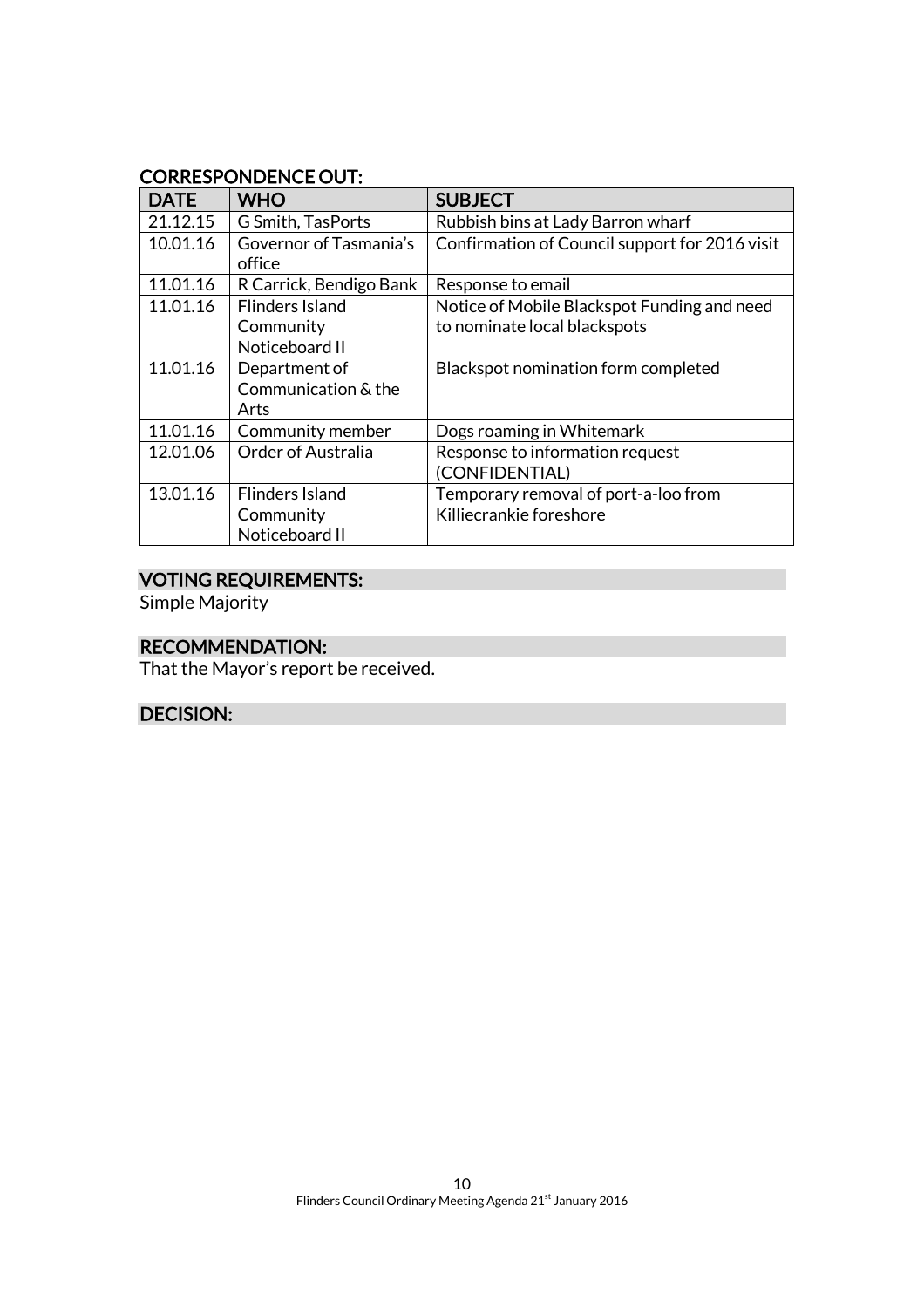### CORRESPONDENCE OUT:

| <b>DATE</b> | <b>WHO</b>                | <b>SUBJECT</b>                                 |
|-------------|---------------------------|------------------------------------------------|
| 21.12.15    | G Smith, TasPorts         | Rubbish bins at Lady Barron wharf              |
| 10.01.16    | Governor of Tasmania's    | Confirmation of Council support for 2016 visit |
|             | office                    |                                                |
| 11.01.16    | R Carrick, Bendigo Bank   | Response to email                              |
| 11.01.16    | <b>Flinders Island</b>    | Notice of Mobile Blackspot Funding and need    |
|             | Community                 | to nominate local blackspots                   |
|             | Noticeboard II            |                                                |
| 11.01.16    | Department of             | Blackspot nomination form completed            |
|             | Communication & the       |                                                |
|             | Arts                      |                                                |
| 11.01.16    | Community member          | Dogs roaming in Whitemark                      |
| 12.01.06    | <b>Order of Australia</b> | Response to information request                |
|             |                           | (CONFIDENTIAL)                                 |
| 13.01.16    | <b>Flinders Island</b>    | Temporary removal of port-a-loo from           |
|             | Community                 | Killiecrankie foreshore                        |
|             | Noticeboard II            |                                                |

# VOTING REQUIREMENTS:

Simple Majority

# RECOMMENDATION:

That the Mayor's report be received.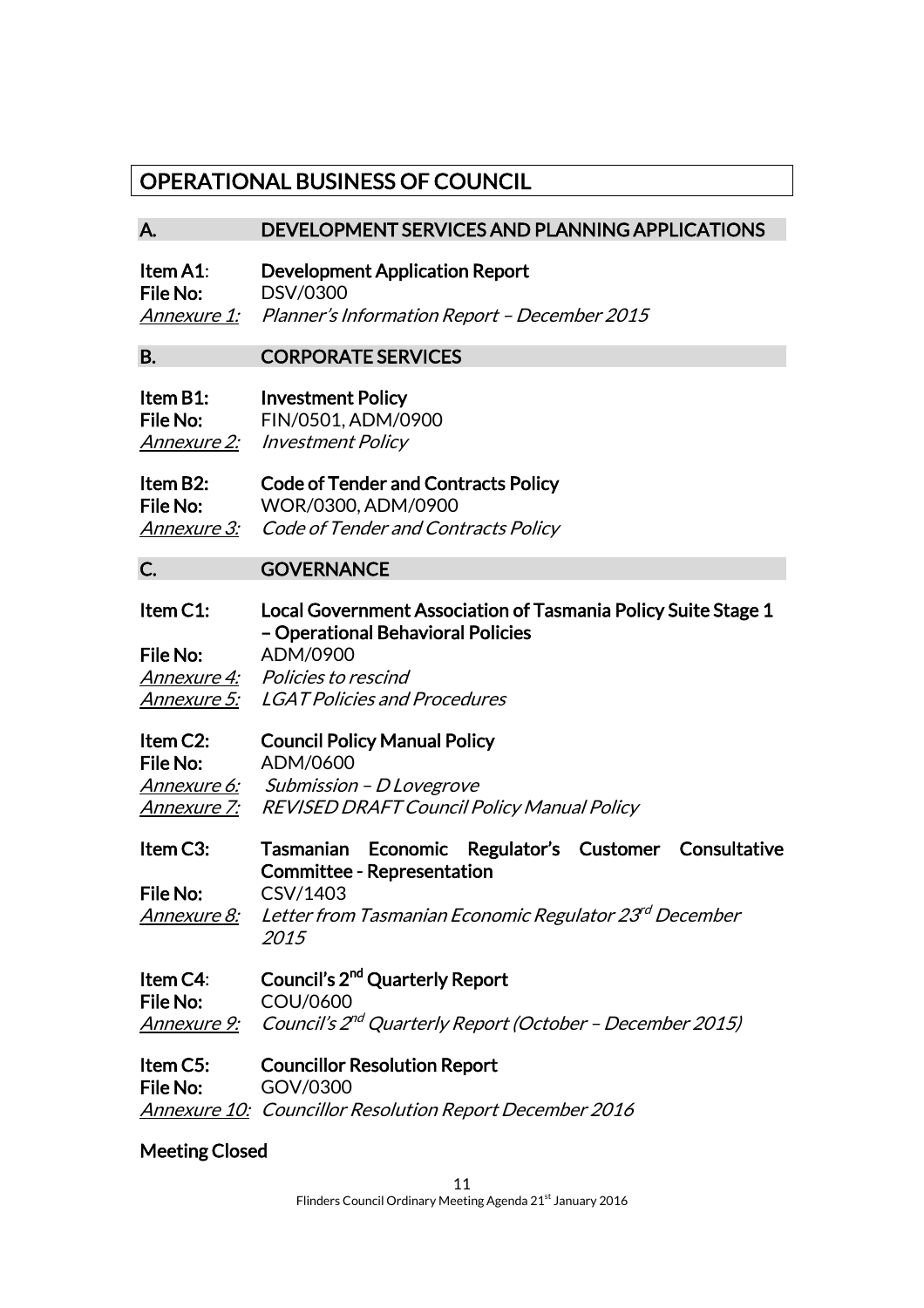# OPERATIONAL BUSINESS OF COUNCIL

### A. DEVELOPMENT SERVICES AND PLANNING APPLICATIONS

| Item A1: | <b>Development Application Report</b>                           |
|----------|-----------------------------------------------------------------|
| File No: | DSV/0300                                                        |
|          | <b>Annexure 1:</b> Planner's Information Report - December 2015 |

### B. CORPORATE SERVICES

| Item B1:           | <b>Investment Policy</b> |
|--------------------|--------------------------|
| File No:           | FIN/0501, ADM/0900       |
| <i>Annexure 2:</i> | <b>Investment Policy</b> |

#### Item B2: Code of Tender and Contracts Policy File No: WOR/0300, ADM/0900 Annexure 3: Code of Tender and Contracts Policy

#### C. **GOVERNANCE**

# Item C1: Local Government Association of Tasmania Policy Suite Stage 1 – Operational Behavioral Policies

File No: ADM/0900 Annexure 4: Policies to rescind Annexure 5: LGAT Policies and Procedures

# Item C2: Council Policy Manual Policy

File No: ADM/0600 Annexure 6: Submission - D Lovegrove Annexure 7: REVISED DRAFT Council Policy Manual Policy

Item C3: Tasmanian Economic Regulator's Customer Consultative Committee - Representation File No: CSV/1403

<u>Annexure 8:</u> Letter from Tasmanian Economic Regulator 23<sup>rd</sup> December 2015

#### Item C4: Council's 2<sup>nd</sup> Quarterly Report File No: COU/0600 <u>Annexure 9:</u> Council's 2<sup>nd</sup> Quarterly Report (October - December 2015)

#### Item C5: Councillor Resolution Report

File No: GOV/0300 **Annexure 10: Councillor Resolution Report December 2016** 

# Meeting Closed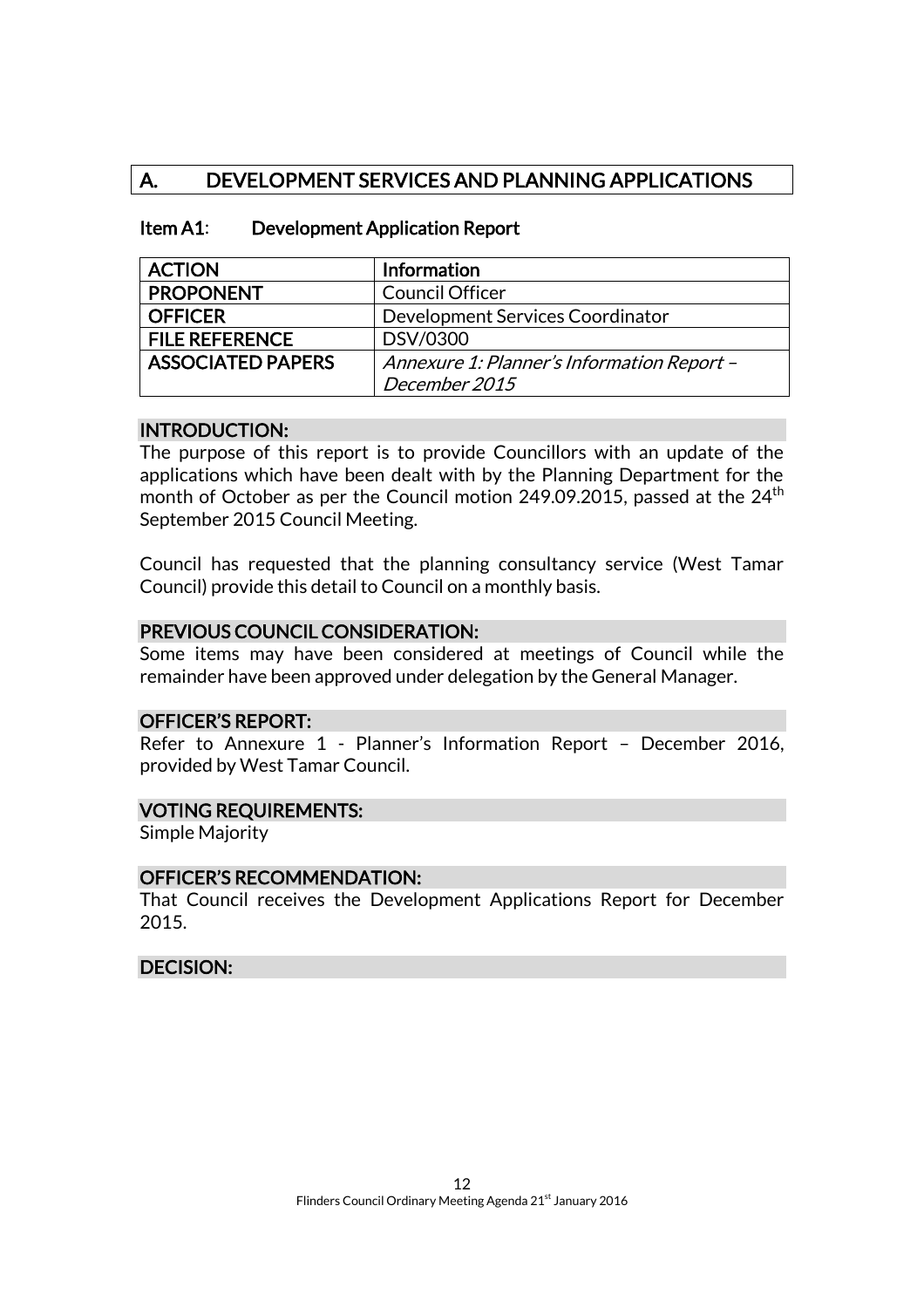# A. DEVELOPMENT SERVICES AND PLANNING APPLICATIONS

ASSOCIATED PAPERS | Annexure 1: Planner's Information Report – December 2015

| <b>ACTION</b>         | <b>Information</b>               |
|-----------------------|----------------------------------|
| <b>PROPONENT</b>      | Council Officer                  |
| <b>OFFICER</b>        | Development Services Coordinator |
| <b>FILE REFERENCE</b> | DSV/0300                         |

#### Item A1: Development Application Report

#### INTRODUCTION:

The purpose of this report is to provide Councillors with an update of the applications which have been dealt with by the Planning Department for the month of October as per the Council motion 249.09.2015, passed at the  $24<sup>th</sup>$ September 2015 Council Meeting.

Council has requested that the planning consultancy service (West Tamar Council) provide this detail to Council on a monthly basis.

#### PREVIOUS COUNCIL CONSIDERATION:

Some items may have been considered at meetings of Council while the remainder have been approved under delegation by the General Manager.

#### OFFICER'S REPORT:

Refer to Annexure 1 - Planner's Information Report – December 2016, provided by West Tamar Council.

#### VOTING REQUIREMENTS:

Simple Majority

#### OFFICER'S RECOMMENDATION:

That Council receives the Development Applications Report for December 2015.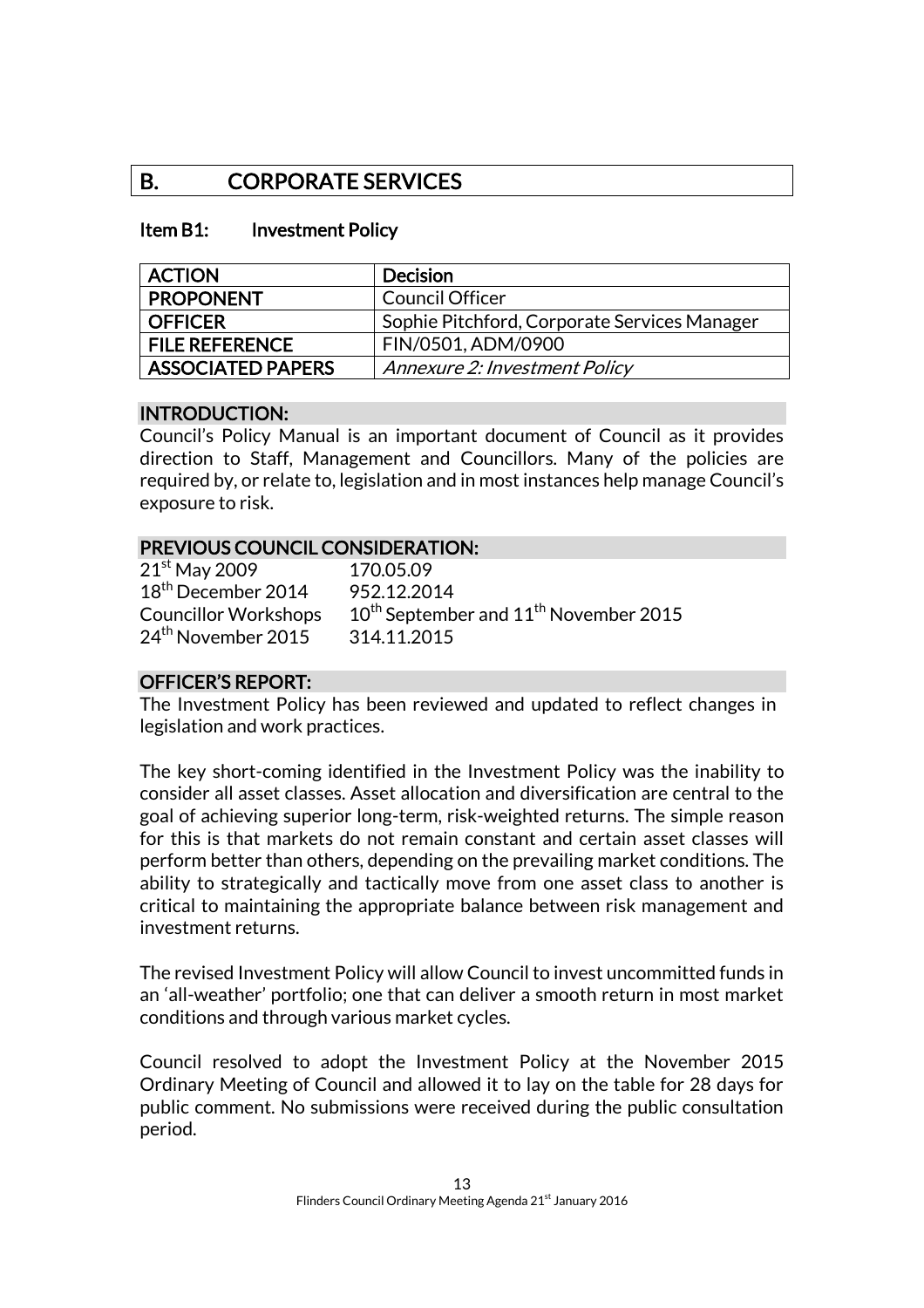# B. CORPORATE SERVICES

#### Item B1: Investment Policy

| <b>ACTION</b>            | <b>Decision</b>                              |
|--------------------------|----------------------------------------------|
| <b>PROPONENT</b>         | <b>Council Officer</b>                       |
| <b>OFFICER</b>           | Sophie Pitchford, Corporate Services Manager |
| <b>FILE REFERENCE</b>    | FIN/0501, ADM/0900                           |
| <b>ASSOCIATED PAPERS</b> | <b>Annexure 2: Investment Policy</b>         |

#### INTRODUCTION:

Council's Policy Manual is an important document of Council as it provides direction to Staff, Management and Councillors. Many of the policies are required by, or relate to, legislation and in most instances help manage Council's exposure to risk.

### PREVIOUS COUNCIL CONSIDERATION:

| $21st$ May 2009                | 170.05.09                                                     |
|--------------------------------|---------------------------------------------------------------|
| 18 <sup>th</sup> December 2014 | 952.12.2014                                                   |
| <b>Councillor Workshops</b>    | 10 <sup>th</sup> September and 11 <sup>th</sup> November 2015 |
| 24 <sup>th</sup> November 2015 | 314.11.2015                                                   |

# OFFICER'S REPORT:

The Investment Policy has been reviewed and updated to reflect changes in legislation and work practices.

The key short-coming identified in the Investment Policy was the inability to consider all asset classes. Asset allocation and diversification are central to the goal of achieving superior long-term, risk-weighted returns. The simple reason for this is that markets do not remain constant and certain asset classes will perform better than others, depending on the prevailing market conditions. The ability to strategically and tactically move from one asset class to another is critical to maintaining the appropriate balance between risk management and investment returns.

The revised Investment Policy will allow Council to invest uncommitted funds in an 'all-weather' portfolio; one that can deliver a smooth return in most market conditions and through various market cycles.

Council resolved to adopt the Investment Policy at the November 2015 Ordinary Meeting of Council and allowed it to lay on the table for 28 days for public comment. No submissions were received during the public consultation period.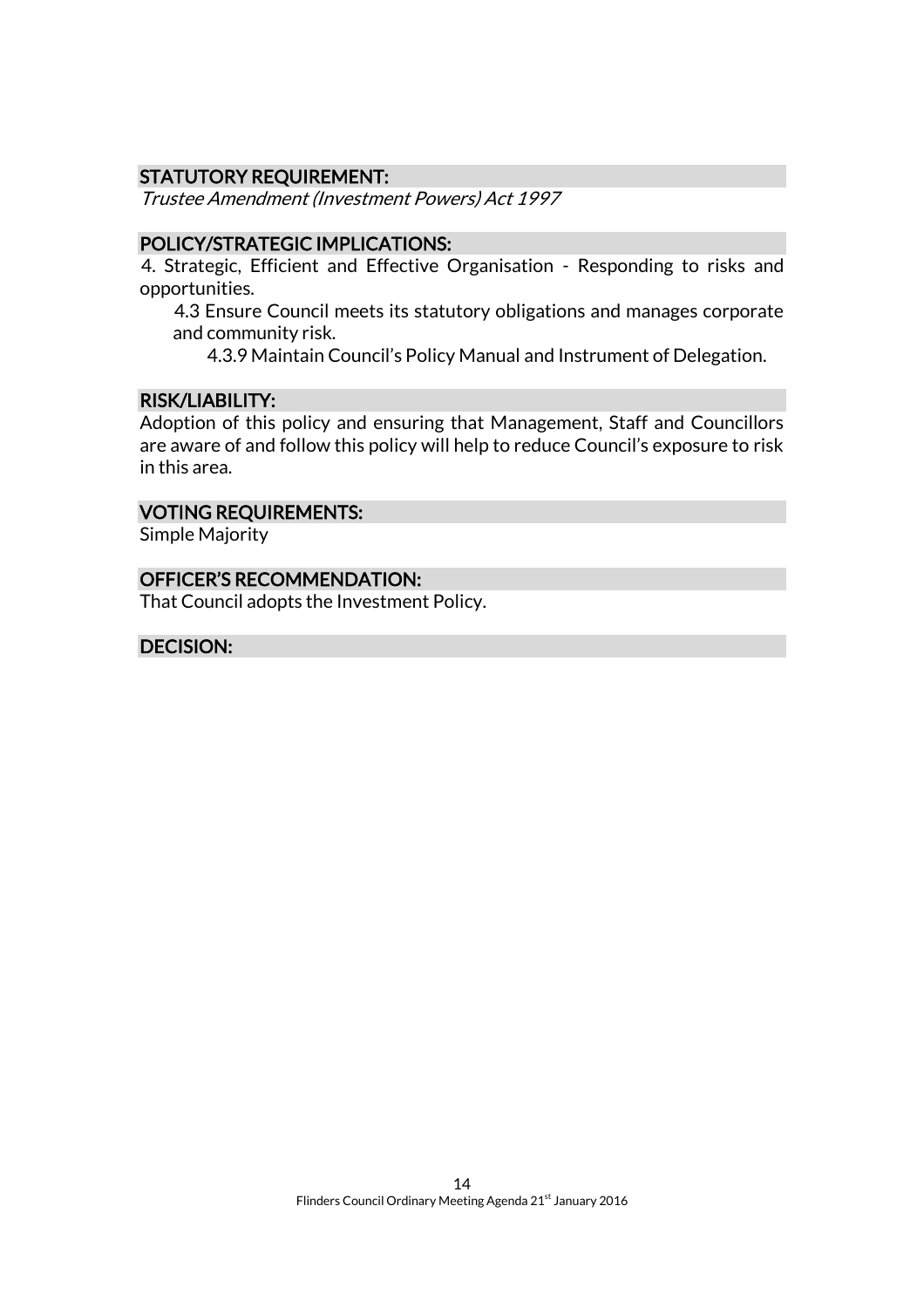# STATUTORY REQUIREMENT:

Trustee Amendment (Investment Powers) Act 1997

#### POLICY/STRATEGIC IMPLICATIONS:

4. Strategic, Efficient and Effective Organisation - Responding to risks and opportunities.

4.3 Ensure Council meets its statutory obligations and manages corporate and community risk.

4.3.9 Maintain Council's Policy Manual and Instrument of Delegation.

### RISK/LIABILITY:

Adoption of this policy and ensuring that Management, Staff and Councillors are aware of and follow this policy will help to reduce Council's exposure to risk in this area.

#### VOTING REQUIREMENTS:

Simple Majority

### OFFICER'S RECOMMENDATION:

That Council adopts the Investment Policy.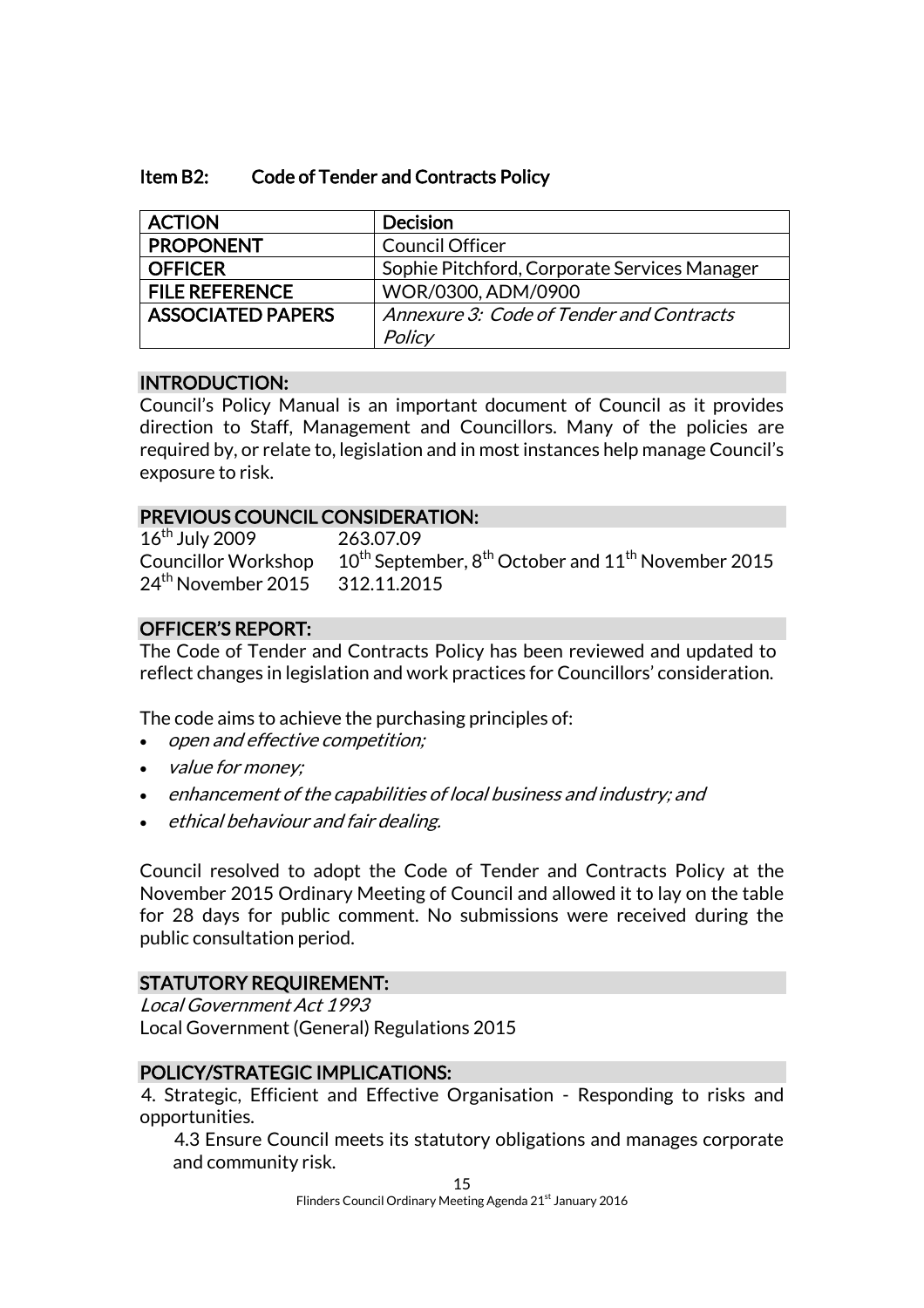| Item B2: | <b>Code of Tender and Contracts Policy</b> |  |
|----------|--------------------------------------------|--|
|----------|--------------------------------------------|--|

| <b>ACTION</b>            | <b>Decision</b>                              |
|--------------------------|----------------------------------------------|
| <b>PROPONENT</b>         | <b>Council Officer</b>                       |
| <b>OFFICER</b>           | Sophie Pitchford, Corporate Services Manager |
| <b>FILE REFERENCE</b>    | WOR/0300, ADM/0900                           |
| <b>ASSOCIATED PAPERS</b> | Annexure 3: Code of Tender and Contracts     |
|                          | Policy                                       |

### INTRODUCTION:

Council's Policy Manual is an important document of Council as it provides direction to Staff, Management and Councillors. Many of the policies are required by, or relate to, legislation and in most instances help manage Council's exposure to risk.

### PREVIOUS COUNCIL CONSIDERATION:

16<sup>th</sup> July 2009 263.07.09 24<sup>th</sup> November 2015 312.11.2015

Councillor Workshop  $10^{th}$  September,  $8^{th}$  October and  $11^{th}$  November 2015

### OFFICER'S REPORT:

The Code of Tender and Contracts Policy has been reviewed and updated to reflect changes in legislation and work practices for Councillors' consideration.

The code aims to achieve the purchasing principles of:

- open and effective competition;
- value for money;
- enhancement of the capabilities of local business and industry; and
- ethical behaviour and fair dealing.

Council resolved to adopt the Code of Tender and Contracts Policy at the November 2015 Ordinary Meeting of Council and allowed it to lay on the table for 28 days for public comment. No submissions were received during the public consultation period.

# STATUTORY REQUIREMENT:

Local Government Act 1993 Local Government (General) Regulations 2015

# POLICY/STRATEGIC IMPLICATIONS:

4. Strategic, Efficient and Effective Organisation - Responding to risks and opportunities.

4.3 Ensure Council meets its statutory obligations and manages corporate and community risk.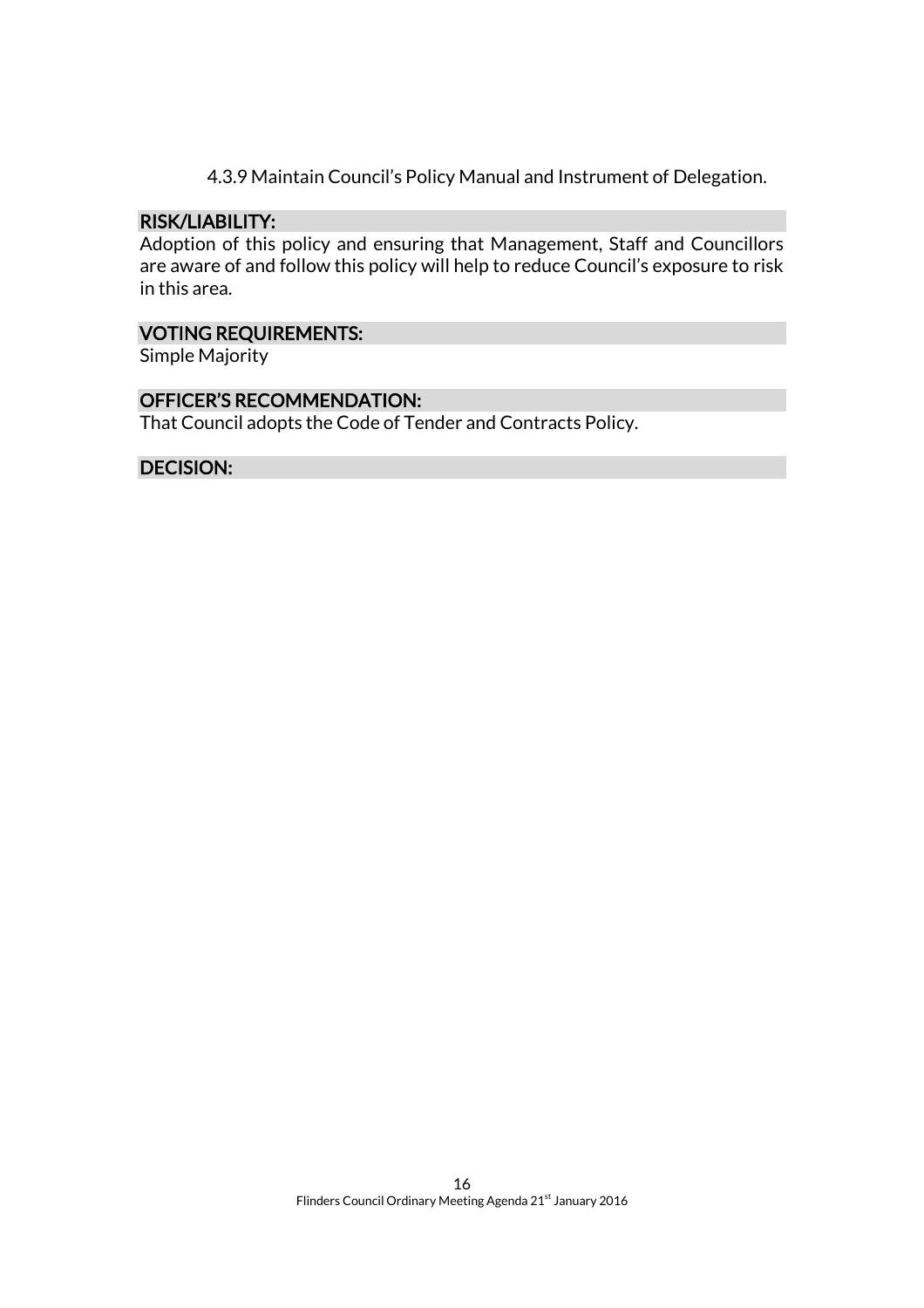4.3.9 Maintain Council's Policy Manual and Instrument of Delegation.

#### RISK/LIABILITY:

Adoption of this policy and ensuring that Management, Staff and Councillors are aware of and follow this policy will help to reduce Council's exposure to risk in this area.

### VOTING REQUIREMENTS:

Simple Majority

# OFFICER'S RECOMMENDATION:

That Council adopts the Code of Tender and Contracts Policy.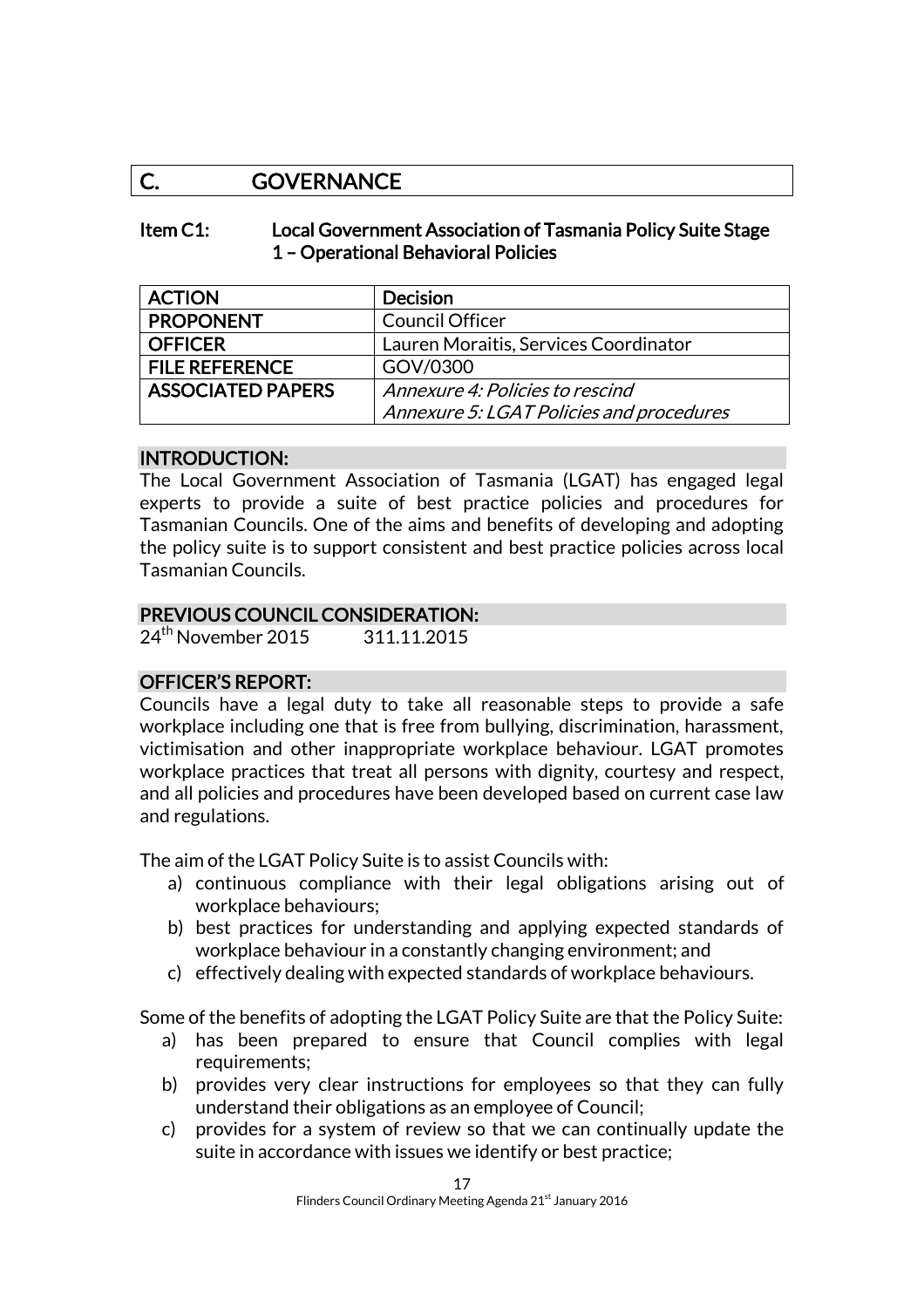# C. GOVERNANCE

#### Item C1: Local Government Association of Tasmania Policy Suite Stage 1 – Operational Behavioral Policies

| <b>ACTION</b>            | <b>Decision</b>                          |
|--------------------------|------------------------------------------|
| <b>PROPONENT</b>         | <b>Council Officer</b>                   |
| <b>OFFICER</b>           | Lauren Moraitis, Services Coordinator    |
| <b>FILE REFERENCE</b>    | GOV/0300                                 |
| <b>ASSOCIATED PAPERS</b> | Annexure 4: Policies to rescind          |
|                          | Annexure 5: LGAT Policies and procedures |

### INTRODUCTION:

The Local Government Association of Tasmania (LGAT) has engaged legal experts to provide a suite of best practice policies and procedures for Tasmanian Councils. One of the aims and benefits of developing and adopting the policy suite is to support consistent and best practice policies across local Tasmanian Councils.

### PREVIOUS COUNCIL CONSIDERATION:

24th November 2015 311.11.2015

# OFFICER'S REPORT:

Councils have a legal duty to take all reasonable steps to provide a safe workplace including one that is free from bullying, discrimination, harassment, victimisation and other inappropriate workplace behaviour. LGAT promotes workplace practices that treat all persons with dignity, courtesy and respect, and all policies and procedures have been developed based on current case law and regulations.

The aim of the LGAT Policy Suite is to assist Councils with:

- a) continuous compliance with their legal obligations arising out of workplace behaviours;
- b) best practices for understanding and applying expected standards of workplace behaviour in a constantly changing environment; and
- c) effectively dealing with expected standards of workplace behaviours.

Some of the benefits of adopting the LGAT Policy Suite are that the Policy Suite:

- a) has been prepared to ensure that Council complies with legal requirements;
- b) provides very clear instructions for employees so that they can fully understand their obligations as an employee of Council;
- c) provides for a system of review so that we can continually update the suite in accordance with issues we identify or best practice;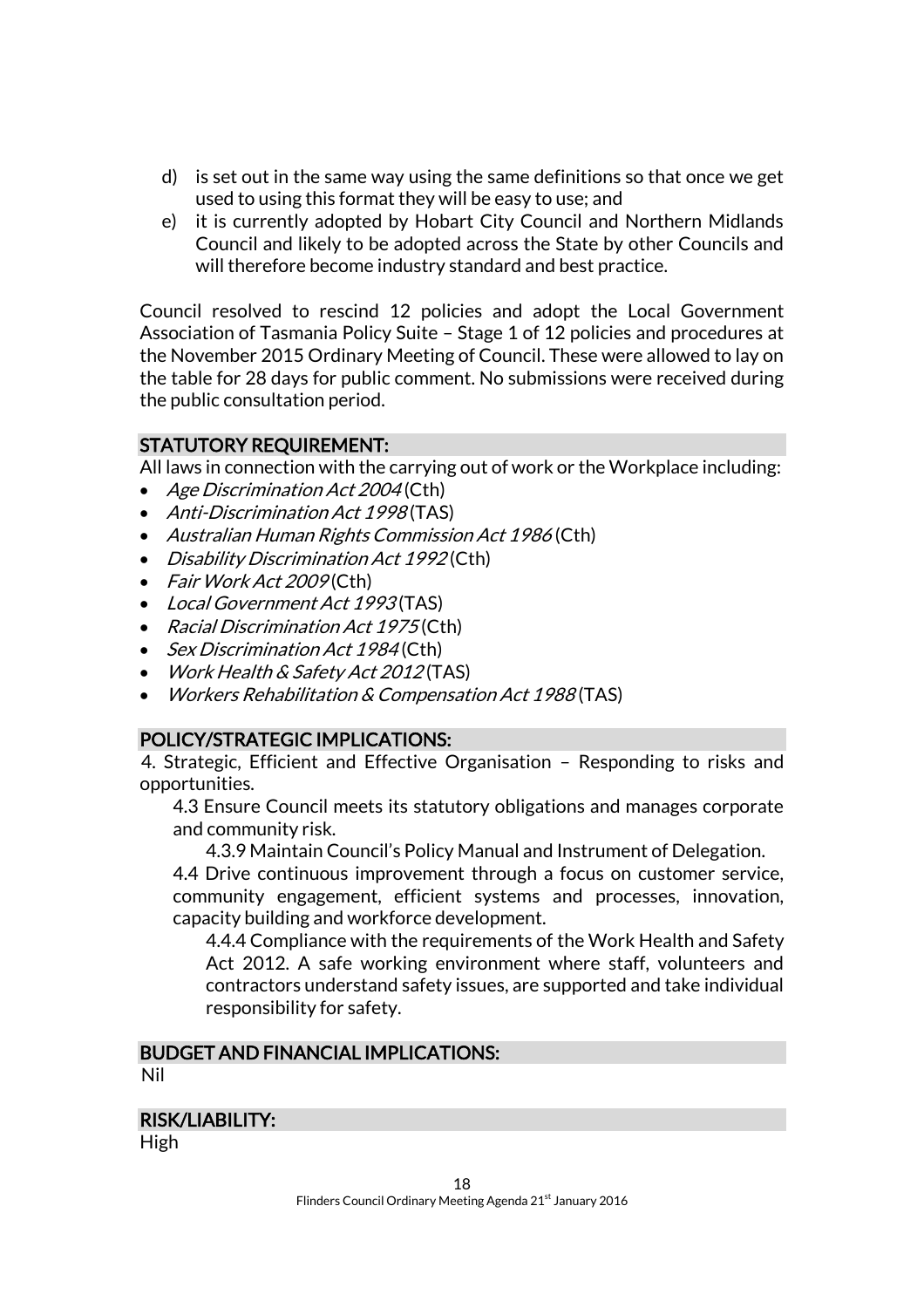- d) is set out in the same way using the same definitions so that once we get used to using this format they will be easy to use; and
- e) it is currently adopted by Hobart City Council and Northern Midlands Council and likely to be adopted across the State by other Councils and will therefore become industry standard and best practice.

Council resolved to rescind 12 policies and adopt the Local Government Association of Tasmania Policy Suite – Stage 1 of 12 policies and procedures at the November 2015 Ordinary Meeting of Council. These were allowed to lay on the table for 28 days for public comment. No submissions were received during the public consultation period.

# STATUTORY REQUIREMENT:

All laws in connection with the carrying out of work or the Workplace including:

- Age Discrimination Act 2004 (Cth)
- Anti-Discrimination Act 1998 (TAS)
- Australian Human Rights Commission Act 1986 (Cth)
- Disability Discrimination Act 1992 (Cth)
- Fair Work Act 2009(Cth)
- Local Government Act 1993(TAS)
- Racial Discrimination Act 1975 (Cth)
- Sex Discrimination Act 1984 (Cth)
- Work Health & Safety Act 2012 (TAS)
- Workers Rehabilitation & Compensation Act 1988 (TAS)

# POLICY/STRATEGIC IMPLICATIONS:

4. Strategic, Efficient and Effective Organisation – Responding to risks and opportunities.

4.3 Ensure Council meets its statutory obligations and manages corporate and community risk.

4.3.9 Maintain Council's Policy Manual and Instrument of Delegation.

4.4 Drive continuous improvement through a focus on customer service, community engagement, efficient systems and processes, innovation, capacity building and workforce development.

4.4.4 Compliance with the requirements of the Work Health and Safety Act 2012. A safe working environment where staff, volunteers and contractors understand safety issues, are supported and take individual responsibility for safety.

# BUDGET AND FINANCIAL IMPLICATIONS:

Nil

# RISK/LIABILITY:

High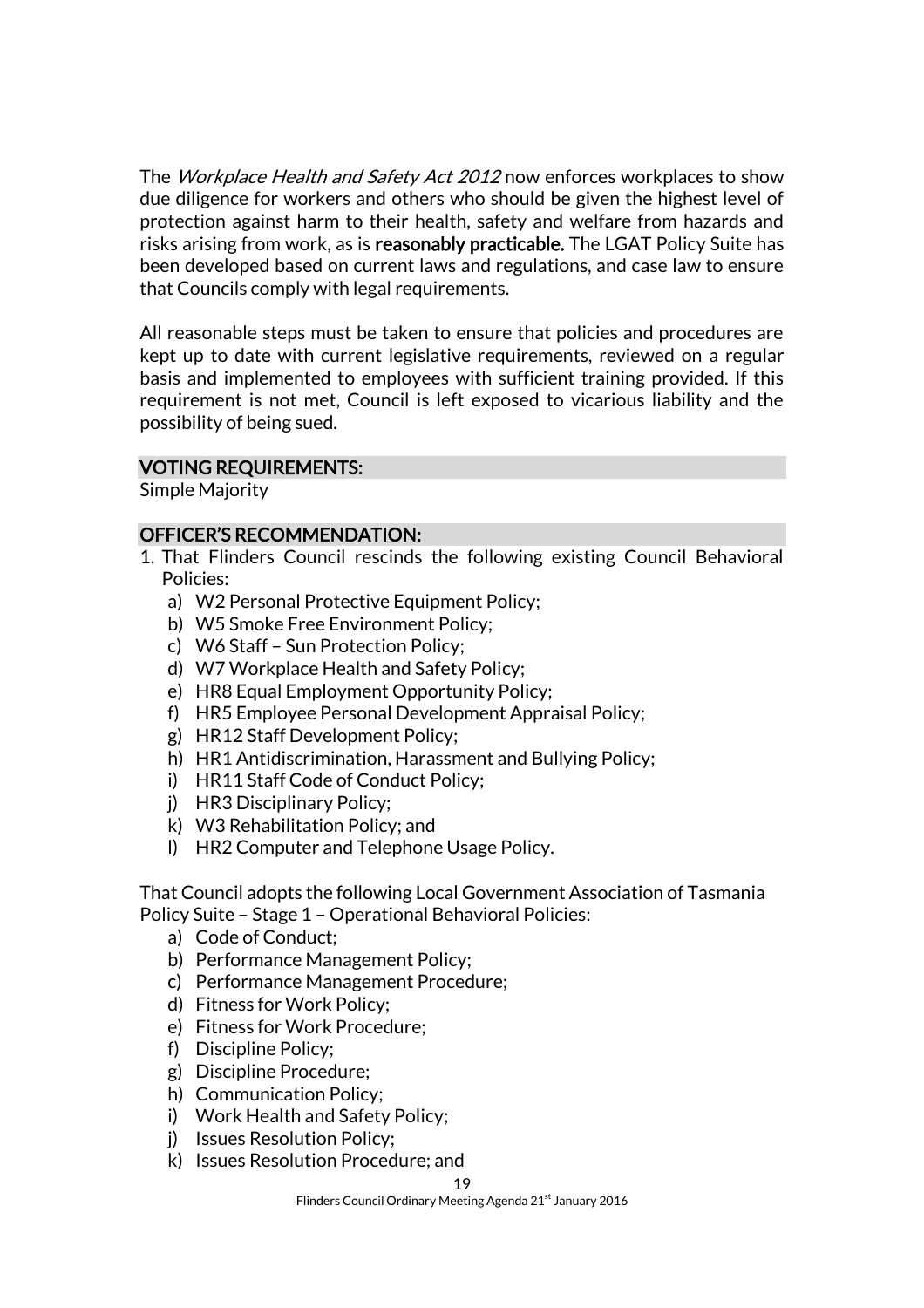The Workplace Health and Safety Act 2012 now enforces workplaces to show due diligence for workers and others who should be given the highest level of protection against harm to their health, safety and welfare from hazards and risks arising from work, as is reasonably practicable. The LGAT Policy Suite has been developed based on current laws and regulations, and case law to ensure that Councils comply with legal requirements.

All reasonable steps must be taken to ensure that policies and procedures are kept up to date with current legislative requirements, reviewed on a regular basis and implemented to employees with sufficient training provided. If this requirement is not met, Council is left exposed to vicarious liability and the possibility of being sued.

### VOTING REQUIREMENTS:

Simple Majority

#### OFFICER'S RECOMMENDATION:

- 1. That Flinders Council rescinds the following existing Council Behavioral Policies:
	- a) W2 Personal Protective Equipment Policy;
	- b) W5 Smoke Free Environment Policy;
	- c) W6 Staff Sun Protection Policy;
	- d) W7 Workplace Health and Safety Policy;
	- e) HR8 Equal Employment Opportunity Policy;
	- f) HR5 Employee Personal Development Appraisal Policy;
	- g) HR12 Staff Development Policy;
	- h) HR1 Antidiscrimination, Harassment and Bullying Policy;
	- i) HR11 Staff Code of Conduct Policy;
	- j) HR3 Disciplinary Policy;
	- k) W3 Rehabilitation Policy; and
	- l) HR2 Computer and Telephone Usage Policy.

That Council adopts the following Local Government Association of Tasmania Policy Suite – Stage 1 – Operational Behavioral Policies:

- a) Code of Conduct;
- b) Performance Management Policy;
- c) Performance Management Procedure;
- d) Fitness for Work Policy;
- e) Fitness for Work Procedure;
- f) Discipline Policy;
- g) Discipline Procedure;
- h) Communication Policy;
- i) Work Health and Safety Policy;
- j) Issues Resolution Policy;
- k) Issues Resolution Procedure; and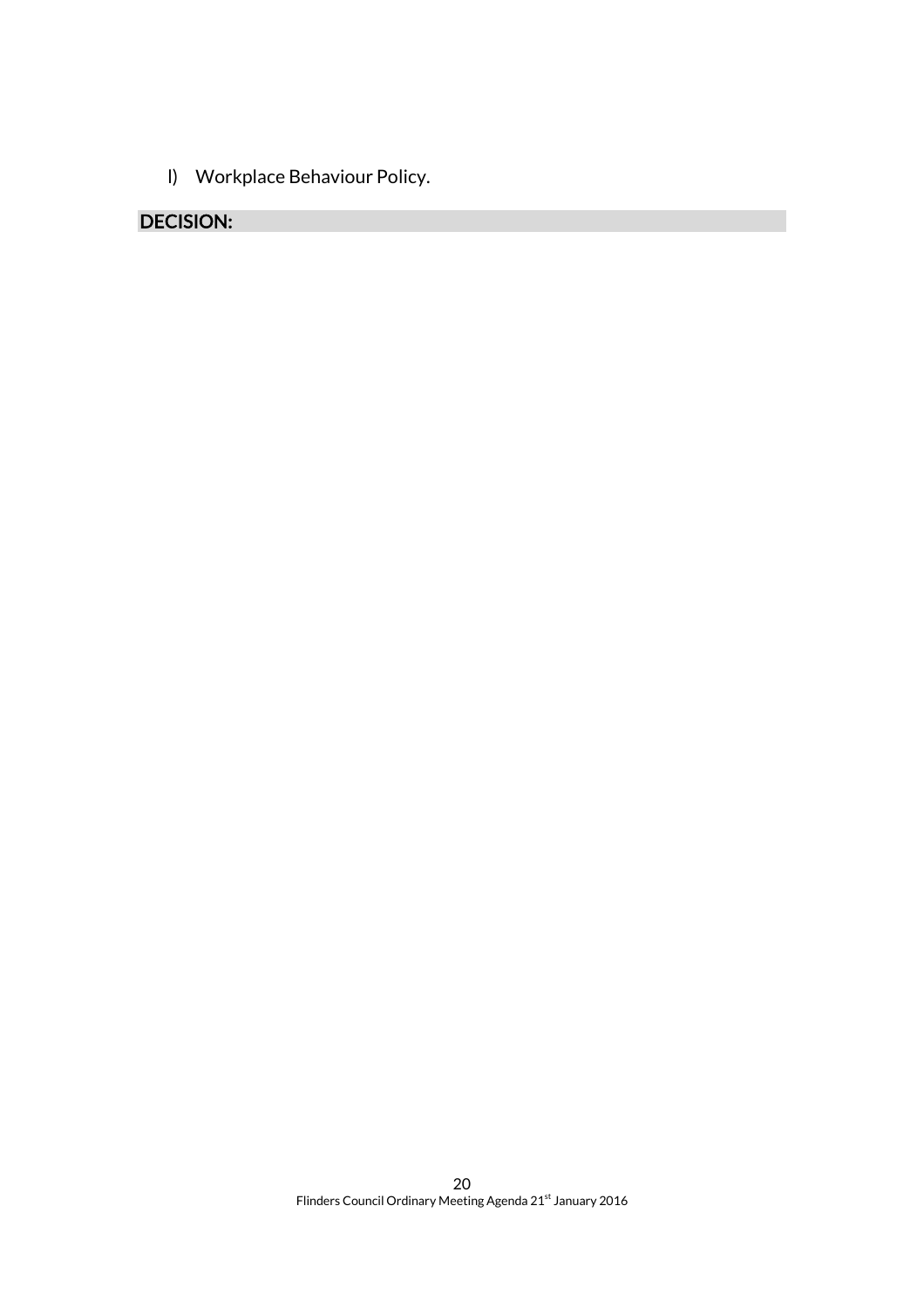l) Workplace Behaviour Policy.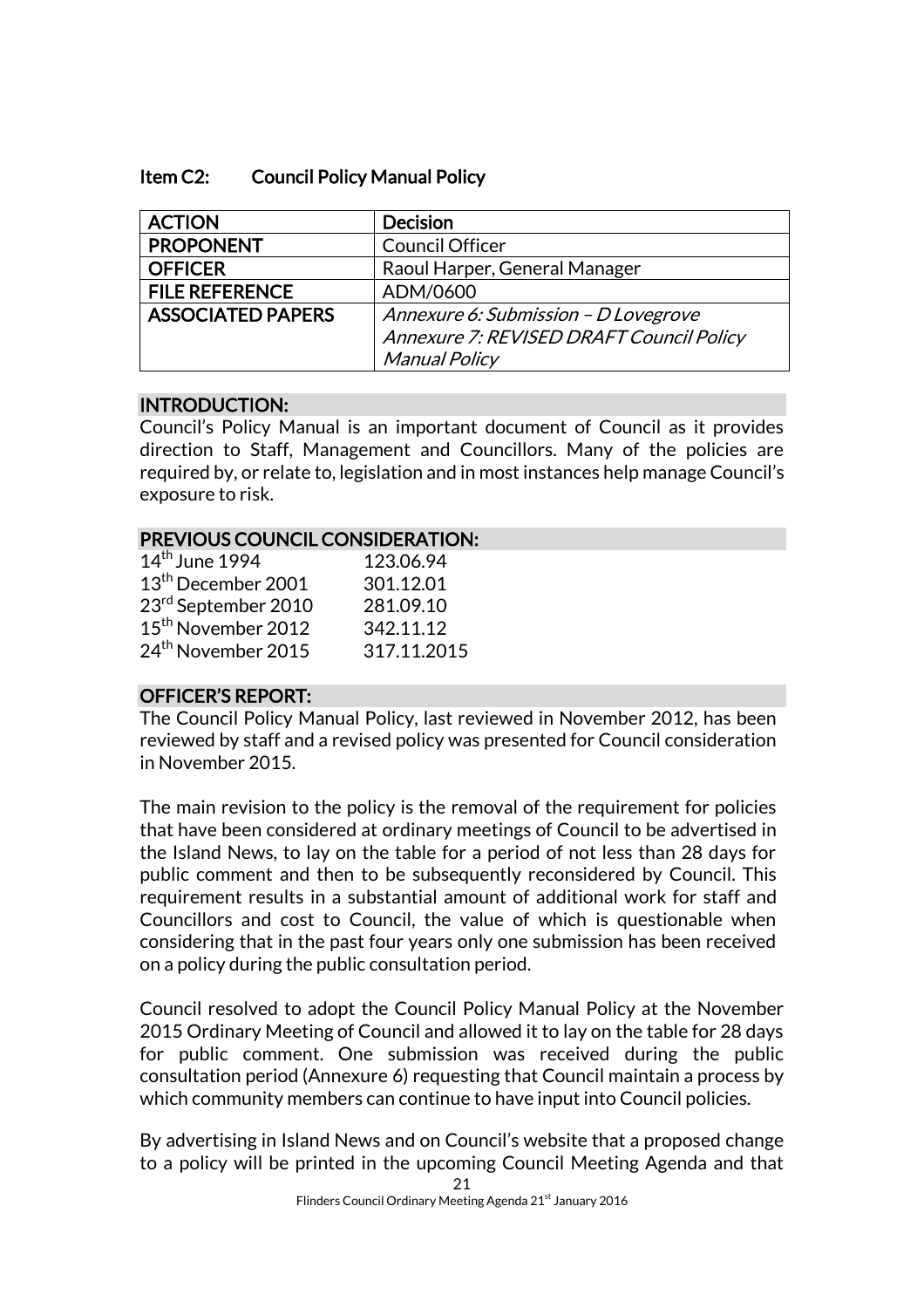#### Item C2: Council Policy Manual Policy

| <b>ACTION</b>            | <b>Decision</b>                          |
|--------------------------|------------------------------------------|
| <b>PROPONENT</b>         | Council Officer                          |
| <b>OFFICER</b>           | Raoul Harper, General Manager            |
| <b>FILE REFERENCE</b>    | ADM/0600                                 |
| <b>ASSOCIATED PAPERS</b> | Annexure 6: Submission - D Lovegrove     |
|                          | Annexure 7: REVISED DRAFT Council Policy |
|                          | <b>Manual Policy</b>                     |

### INTRODUCTION:

Council's Policy Manual is an important document of Council as it provides direction to Staff, Management and Councillors. Many of the policies are required by, or relate to, legislation and in most instances help manage Council's exposure to risk.

#### PREVIOUS COUNCIL CONSIDERATION:

| $14th$ June 1994               | 123.06.94   |
|--------------------------------|-------------|
| 13 <sup>th</sup> December 2001 | 301.12.01   |
| 23rd September 2010            | 281.09.10   |
| 15 <sup>th</sup> November 2012 | 342.11.12   |
| 24 <sup>th</sup> November 2015 | 317.11.2015 |

# OFFICER'S REPORT:

The Council Policy Manual Policy, last reviewed in November 2012, has been reviewed by staff and a revised policy was presented for Council consideration in November 2015.

The main revision to the policy is the removal of the requirement for policies that have been considered at ordinary meetings of Council to be advertised in the Island News, to lay on the table for a period of not less than 28 days for public comment and then to be subsequently reconsidered by Council. This requirement results in a substantial amount of additional work for staff and Councillors and cost to Council, the value of which is questionable when considering that in the past four years only one submission has been received on a policy during the public consultation period.

Council resolved to adopt the Council Policy Manual Policy at the November 2015 Ordinary Meeting of Council and allowed it to lay on the table for 28 days for public comment. One submission was received during the public consultation period (Annexure 6) requesting that Council maintain a process by which community members can continue to have input into Council policies.

By advertising in Island News and on Council's website that a proposed change to a policy will be printed in the upcoming Council Meeting Agenda and that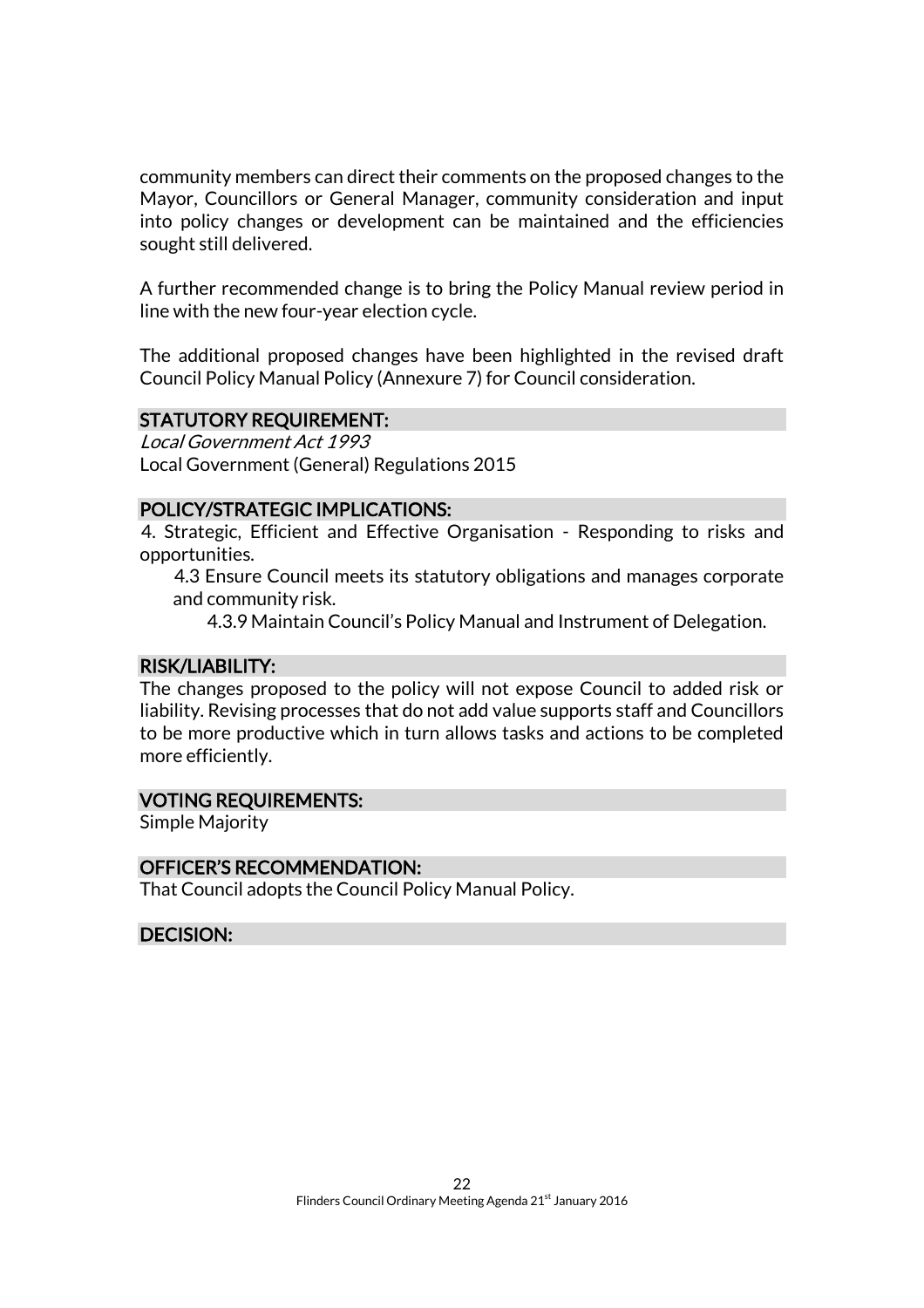community members can direct their comments on the proposed changes to the Mayor, Councillors or General Manager, community consideration and input into policy changes or development can be maintained and the efficiencies sought still delivered.

A further recommended change is to bring the Policy Manual review period in line with the new four-year election cycle.

The additional proposed changes have been highlighted in the revised draft Council Policy Manual Policy (Annexure 7) for Council consideration.

#### STATUTORY REQUIREMENT:

Local Government Act 1993 Local Government (General) Regulations 2015

#### POLICY/STRATEGIC IMPLICATIONS:

4. Strategic, Efficient and Effective Organisation - Responding to risks and opportunities.

4.3 Ensure Council meets its statutory obligations and manages corporate and community risk.

4.3.9 Maintain Council's Policy Manual and Instrument of Delegation.

#### RISK/LIABILITY:

The changes proposed to the policy will not expose Council to added risk or liability. Revising processes that do not add value supports staff and Councillors to be more productive which in turn allows tasks and actions to be completed more efficiently.

#### VOTING REQUIREMENTS:

Simple Majority

#### OFFICER'S RECOMMENDATION:

That Council adopts the Council Policy Manual Policy.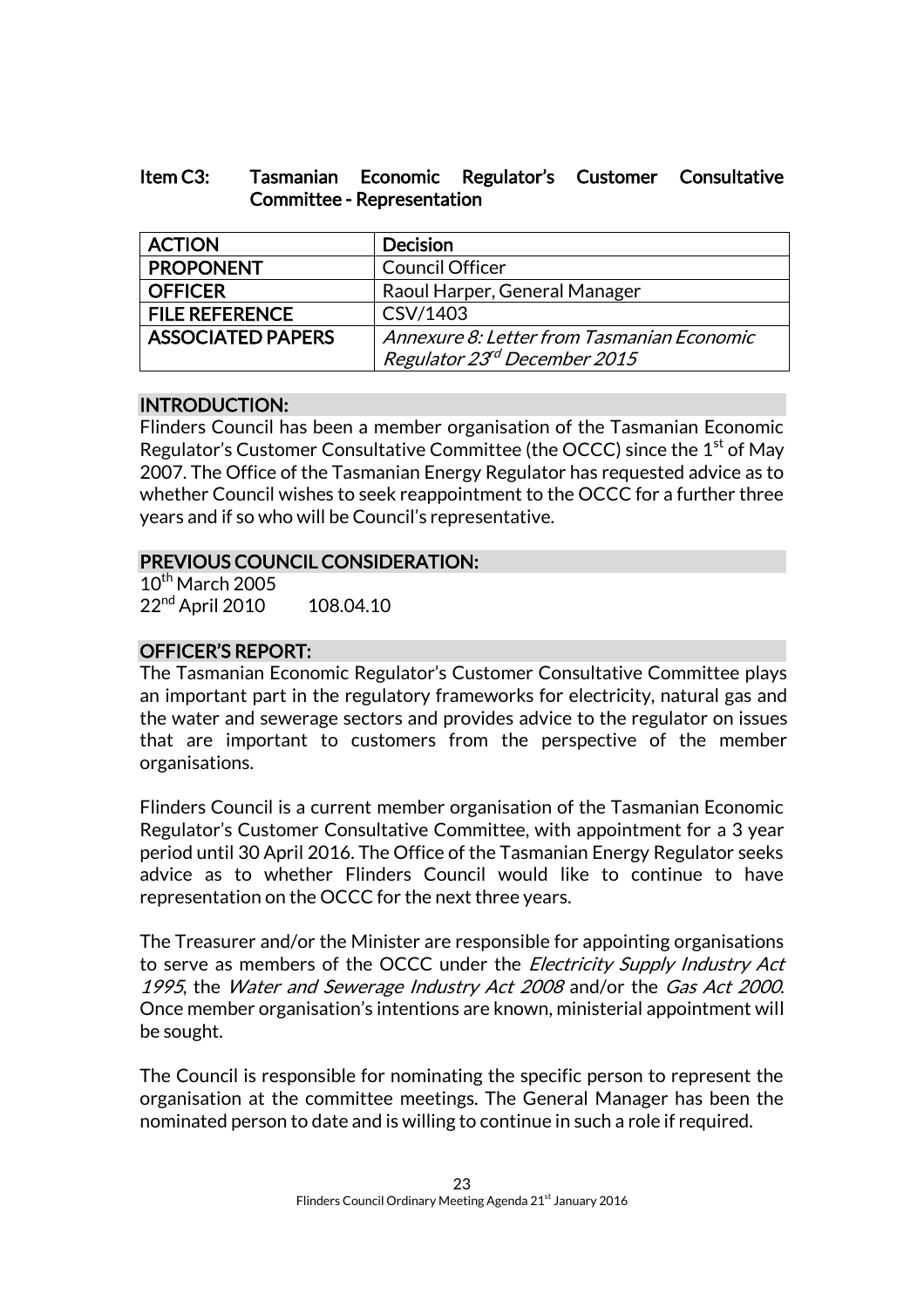| ltem C3: |                                   |  | Tasmanian Economic Regulator's Customer Consultative |
|----------|-----------------------------------|--|------------------------------------------------------|
|          | <b>Committee - Representation</b> |  |                                                      |

| <b>ACTION</b>            | <b>Decision</b>                            |
|--------------------------|--------------------------------------------|
| <b>PROPONENT</b>         | <b>Council Officer</b>                     |
| <b>OFFICER</b>           | Raoul Harper, General Manager              |
| <b>FILE REFERENCE</b>    | CSV/1403                                   |
| <b>ASSOCIATED PAPERS</b> | Annexure 8: Letter from Tasmanian Economic |
|                          | Regulator 23 <sup>rd</sup> December 2015   |

# INTRODUCTION:

Flinders Council has been a member organisation of the Tasmanian Economic Regulator's Customer Consultative Committee (the OCCC) since the  $1<sup>st</sup>$  of May 2007. The Office of the Tasmanian Energy Regulator has requested advice as to whether Council wishes to seek reappointment to the OCCC for a further three years and if so who will be Council's representative.

### PREVIOUS COUNCIL CONSIDERATION:

 $10^{th}$  March 2005 22<sup>nd</sup> April 2010 108.04.10

### OFFICER'S REPORT:

The Tasmanian Economic Regulator's Customer Consultative Committee plays an important part in the regulatory frameworks for electricity, natural gas and the water and sewerage sectors and provides advice to the regulator on issues that are important to customers from the perspective of the member organisations.

Flinders Council is a current member organisation of the Tasmanian Economic Regulator's Customer Consultative Committee, with appointment for a 3 year period until 30 April 2016. The Office of the Tasmanian Energy Regulator seeks advice as to whether Flinders Council would like to continue to have representation on the OCCC for the next three years.

The Treasurer and/or the Minister are responsible for appointing organisations to serve as members of the OCCC under the *Electricity Supply Industry Act* 1995, the Water and Sewerage Industry Act 2008 and/or the Gas Act 2000. Once member organisation's intentions are known, ministerial appointment will be sought.

The Council is responsible for nominating the specific person to represent the organisation at the committee meetings. The General Manager has been the nominated person to date and is willing to continue in such a role if required.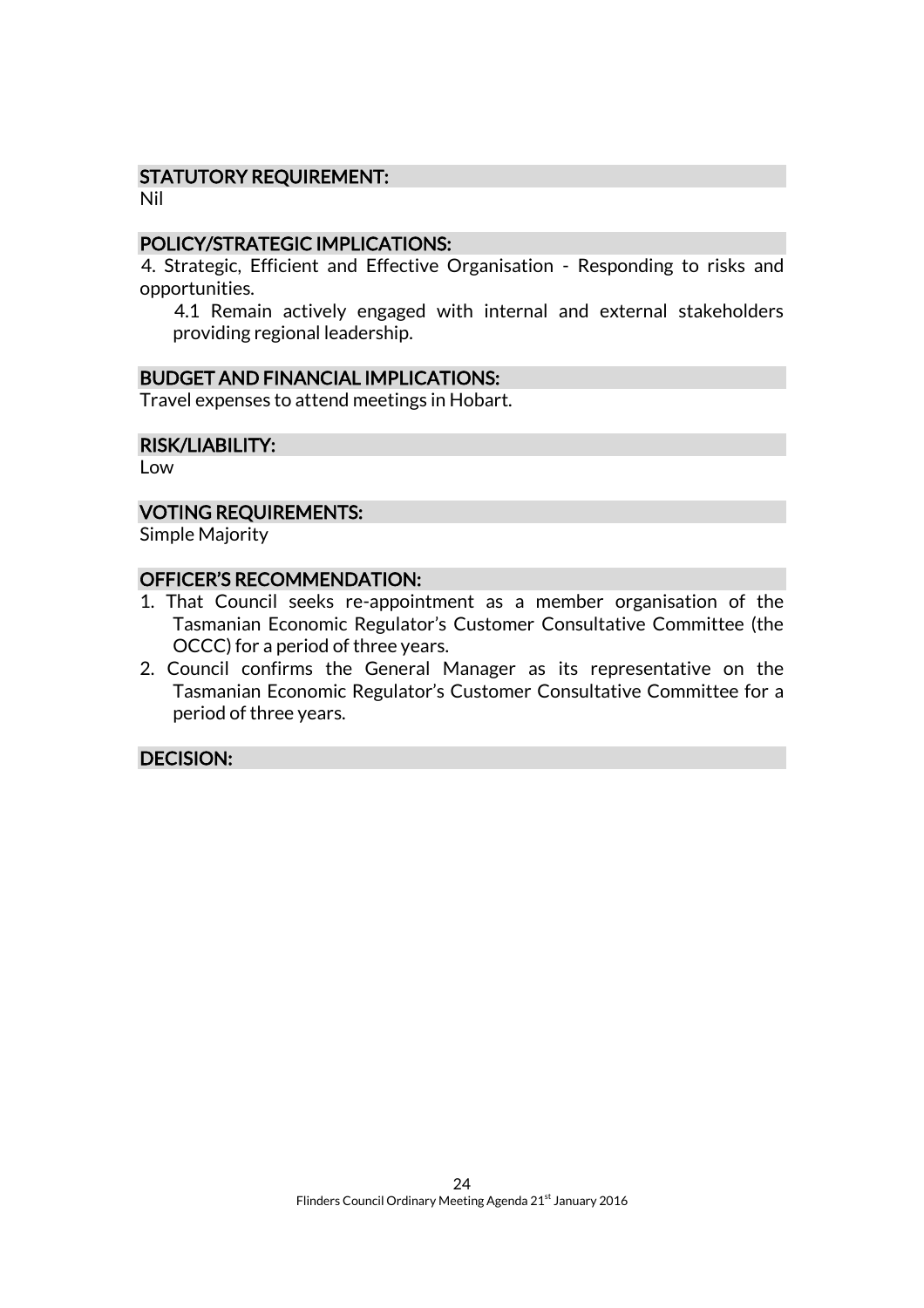### STATUTORY REQUIREMENT:

Nil

#### POLICY/STRATEGIC IMPLICATIONS:

4. Strategic, Efficient and Effective Organisation - Responding to risks and opportunities.

4.1 Remain actively engaged with internal and external stakeholders providing regional leadership.

#### BUDGET AND FINANCIAL IMPLICATIONS:

Travel expenses to attend meetings in Hobart.

#### RISK/LIABILITY:

Low

#### VOTING REQUIREMENTS:

Simple Majority

#### OFFICER'S RECOMMENDATION:

- 1. That Council seeks re-appointment as a member organisation of the Tasmanian Economic Regulator's Customer Consultative Committee (the OCCC) for a period of three years.
- 2. Council confirms the General Manager as its representative on the Tasmanian Economic Regulator's Customer Consultative Committee for a period of three years.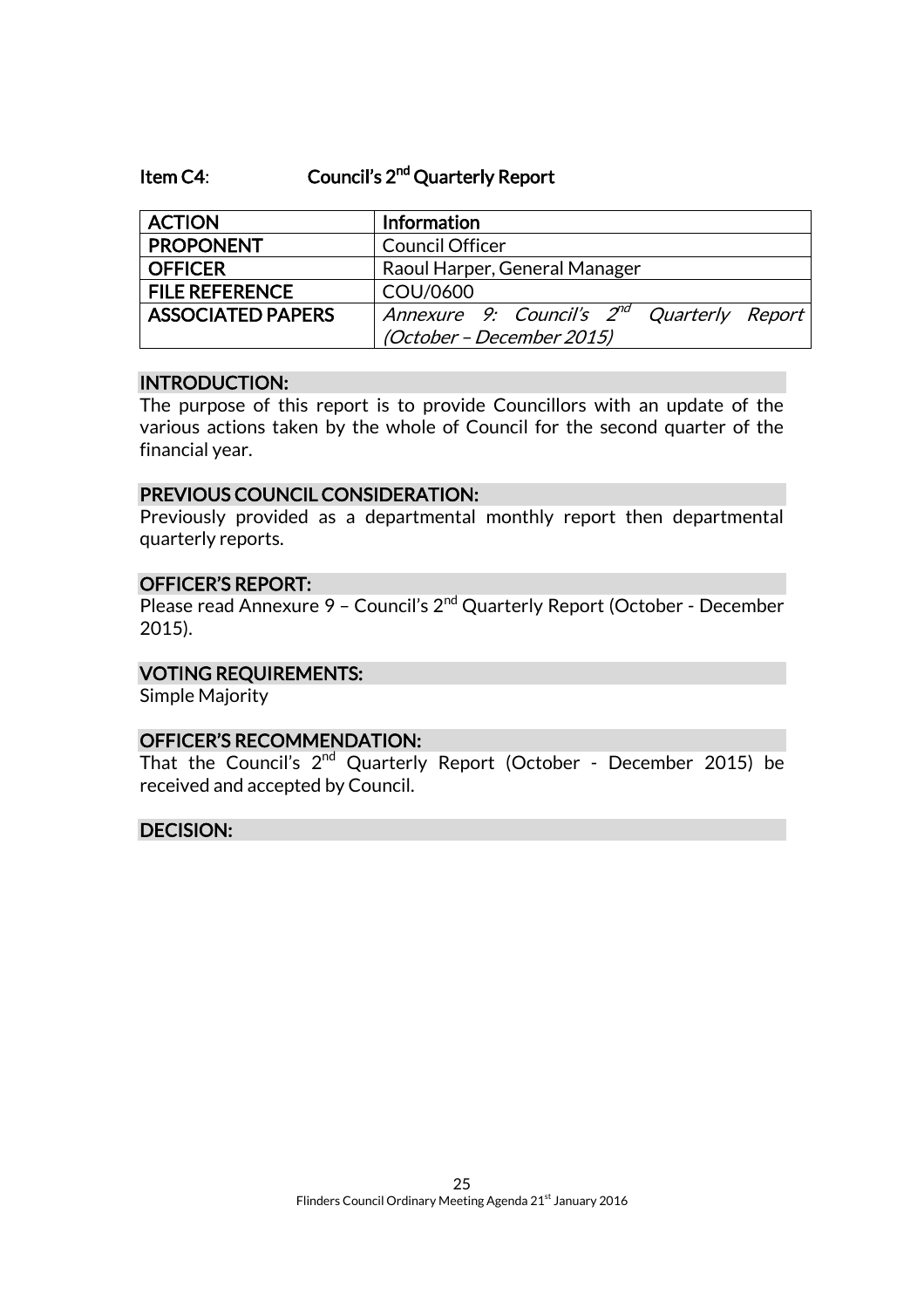### Item C4: Council's 2<sup>nd</sup> Quarterly Report

| <b>ACTION</b>            | Information                                                                         |
|--------------------------|-------------------------------------------------------------------------------------|
| <b>PROPONENT</b>         | <b>Council Officer</b>                                                              |
| <b>OFFICER</b>           | Raoul Harper, General Manager                                                       |
| <b>FILE REFERENCE</b>    | COU/0600                                                                            |
| <b>ASSOCIATED PAPERS</b> | Annexure 9: Council's 2 <sup>nd</sup> Quarterly Report<br>(October - December 2015) |

#### INTRODUCTION:

The purpose of this report is to provide Councillors with an update of the various actions taken by the whole of Council for the second quarter of the financial year.

#### PREVIOUS COUNCIL CONSIDERATION:

Previously provided as a departmental monthly report then departmental quarterly reports.

#### OFFICER'S REPORT:

Please read Annexure 9 - Council's 2<sup>nd</sup> Quarterly Report (October - December 2015).

#### VOTING REQUIREMENTS:

Simple Majority

#### OFFICER'S RECOMMENDATION:

That the Council's 2<sup>nd</sup> Quarterly Report (October - December 2015) be received and accepted by Council.